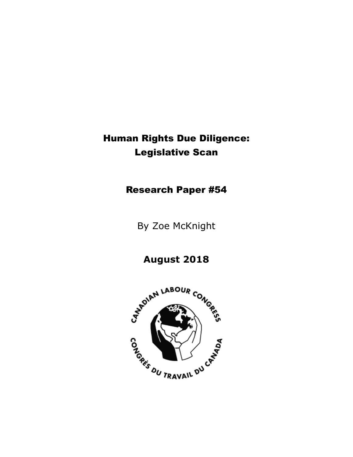# Human Rights Due Diligence: Legislative Scan

Research Paper #54

By Zoe McKnight

**August 2018**

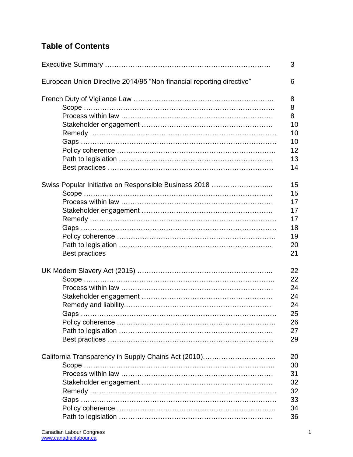# **Table of Contents**

|                                                                      | 3  |
|----------------------------------------------------------------------|----|
| European Union Directive 2014/95 "Non-financial reporting directive" | 6  |
|                                                                      | 8  |
|                                                                      | 8  |
|                                                                      | 8  |
|                                                                      | 10 |
|                                                                      | 10 |
|                                                                      | 10 |
|                                                                      | 12 |
|                                                                      | 13 |
|                                                                      | 14 |
| Swiss Popular Initiative on Responsible Business 2018                | 15 |
|                                                                      | 15 |
|                                                                      | 17 |
|                                                                      | 17 |
|                                                                      | 17 |
|                                                                      | 18 |
|                                                                      | 19 |
|                                                                      | 20 |
| <b>Best practices</b>                                                | 21 |
|                                                                      | 22 |
|                                                                      | 22 |
|                                                                      | 24 |
|                                                                      | 24 |
|                                                                      | 24 |
|                                                                      | 25 |
|                                                                      | 26 |
|                                                                      | 27 |
|                                                                      | 29 |
| California Transparency in Supply Chains Act (2010)                  | 20 |
|                                                                      | 30 |
|                                                                      | 31 |
|                                                                      | 32 |
|                                                                      | 32 |
|                                                                      | 33 |
|                                                                      | 34 |
|                                                                      | 36 |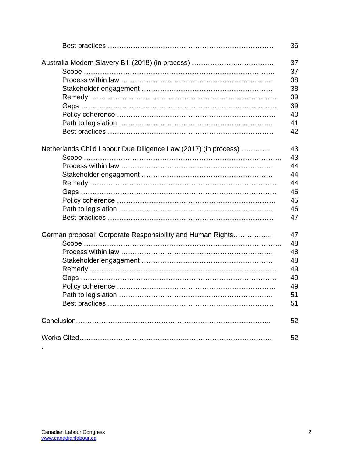|                                                                | 36 |
|----------------------------------------------------------------|----|
|                                                                | 37 |
|                                                                | 37 |
|                                                                | 38 |
|                                                                | 38 |
|                                                                | 39 |
|                                                                | 39 |
|                                                                | 40 |
|                                                                | 41 |
|                                                                | 42 |
|                                                                |    |
| Netherlands Child Labour Due Diligence Law (2017) (in process) | 43 |
|                                                                | 43 |
|                                                                | 44 |
|                                                                | 44 |
|                                                                | 44 |
|                                                                | 45 |
|                                                                | 45 |
|                                                                | 46 |
|                                                                | 47 |
|                                                                |    |
| German proposal: Corporate Responsibility and Human Rights     | 47 |
|                                                                | 48 |
|                                                                | 48 |
|                                                                | 48 |
|                                                                | 49 |
|                                                                | 49 |
|                                                                | 49 |
|                                                                | 51 |
|                                                                | 51 |
|                                                                |    |
|                                                                | 52 |
|                                                                | 52 |

.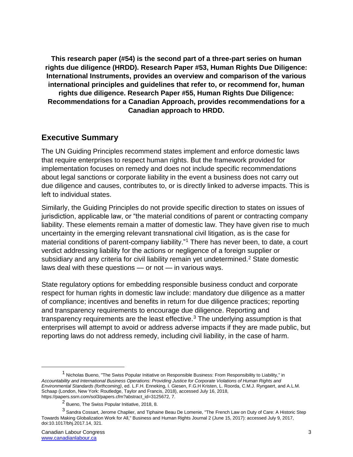**This research paper (#54) is the second part of a three-part series on human rights due diligence (HRDD). Research Paper #53, Human Rights Due Diligence: International Instruments, provides an overview and comparison of the various international principles and guidelines that refer to, or recommend for, human rights due diligence. Research Paper #55, Human Rights Due Diligence: Recommendations for a Canadian Approach, provides recommendations for a Canadian approach to HRDD.**

# **Executive Summary**

The UN Guiding Principles recommend states implement and enforce domestic laws that require enterprises to respect human rights. But the framework provided for implementation focuses on remedy and does not include specific recommendations about legal sanctions or corporate liability in the event a business does not carry out due diligence and causes, contributes to, or is directly linked to adverse impacts. This is left to individual states.

Similarly, the Guiding Principles do not provide specific direction to states on issues of jurisdiction, applicable law, or "the material conditions of parent or contracting company liability. These elements remain a matter of domestic law. They have given rise to much uncertainty in the emerging relevant transnational civil litigation, as is the case for material conditions of parent-company liability."<sup>1</sup> There has never been, to date, a court verdict addressing liability for the actions or negligence of a foreign supplier or subsidiary and any criteria for civil liability remain yet undetermined.<sup>2</sup> State domestic laws deal with these questions — or not — in various ways.

State regulatory options for embedding responsible business conduct and corporate respect for human rights in domestic law include: mandatory due diligence as a matter of compliance; incentives and benefits in return for due diligence practices; reporting and transparency requirements to encourage due diligence. Reporting and transparency requirements are the least effective.<sup>3</sup> The underlying assumption is that enterprises will attempt to avoid or address adverse impacts if they are made public, but reporting laws do not address remedy, including civil liability, in the case of harm.

<sup>1</sup> Nicholas Bueno, "The Swiss Popular Initiative on Responsible Business: From Responsibility to Liability," in *Accountability and International Business Operations: Providing Justice for Corporate Violations of Human Rights and Environmental Standards (forthcoming)*, ed. L.F.H. Enneking, I. Giesen, F.G.H Kristen, L. Roorda, C.M.J. Ryngaert, and A.L.M. Schaap (London, New York: Routledge, Taylor and Francis, 2018), accessed July 16, 2018, https://papers.ssrn.com/sol3/papers.cfm?abstract\_id=3125672, 7.

<sup>2</sup> Bueno, The Swiss Popular Initiative, 2018, 8.

<sup>3</sup> Sandra Cossart, Jerome Chaplier, and Tiphaine Beau De Lomenie, "The French Law on Duty of Care: A Historic Step Towards Making Globalization Work for All," Business and Human Rights Journal 2 (June 15, 2017): accessed July 9, 2017, doi:10.1017/bhj.2017.14, 321.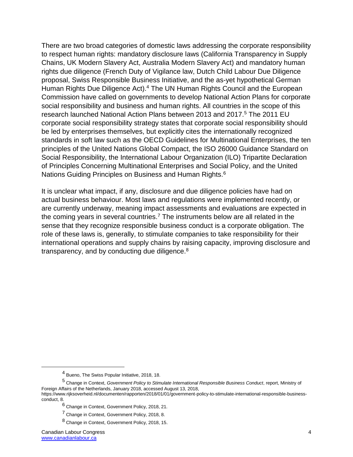There are two broad categories of domestic laws addressing the corporate responsibility to respect human rights: mandatory disclosure laws (California Transparency in Supply Chains, UK Modern Slavery Act, Australia Modern Slavery Act) and mandatory human rights due diligence (French Duty of Vigilance law, Dutch Child Labour Due Diligence proposal, Swiss Responsible Business Initiative, and the as-yet hypothetical German Human Rights Due Diligence Act).<sup>4</sup> The UN Human Rights Council and the European Commission have called on governments to develop National Action Plans for corporate social responsibility and business and human rights. All countries in the scope of this research launched National Action Plans between 2013 and 2017.<sup>5</sup> The 2011 EU corporate social responsibility strategy states that corporate social responsibility should be led by enterprises themselves, but explicitly cites the internationally recognized standards in soft law such as the OECD Guidelines for Multinational Enterprises, the ten principles of the United Nations Global Compact, the ISO 26000 Guidance Standard on Social Responsibility, the International Labour Organization (ILO) Tripartite Declaration of Principles Concerning Multinational Enterprises and Social Policy, and the United Nations Guiding Principles on Business and Human Rights.<sup>6</sup>

It is unclear what impact, if any, disclosure and due diligence policies have had on actual business behaviour. Most laws and regulations were implemented recently, or are currently underway, meaning impact assessments and evaluations are expected in the coming years in several countries.<sup>7</sup> The instruments below are all related in the sense that they recognize responsible business conduct is a corporate obligation. The role of these laws is, generally, to stimulate companies to take responsibility for their international operations and supply chains by raising capacity, improving disclosure and transparency, and by conducting due diligence. $8$ 

<sup>4</sup> Bueno, The Swiss Popular Initiative, 2018, 18.

<sup>5</sup> Change in Context, *Government Policy to Stimulate International Responsible Business Conduct*, report, Ministry of Foreign Affairs of the Netherlands, January 2018, accessed August 13, 2018, https://www.rijksoverheid.nl/documenten/rapporten/2018/01/01/government-policy-to-stimulate-international-responsible-business-

conduct, 8.

<sup>6</sup> Change in Context, Government Policy, 2018, 21.

<sup>7</sup> Change in Context, Government Policy, 2018, 8.

<sup>8</sup> Change in Context, Government Policy, 2018, 15.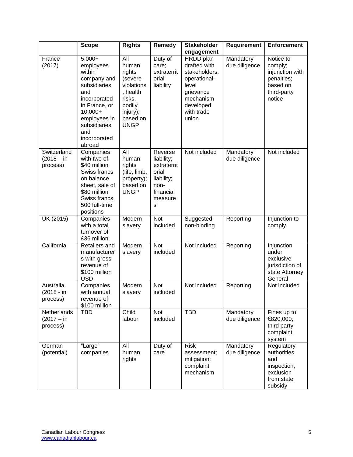|                                         | <b>Scope</b>                                                                                                                                                                       | <b>Rights</b>                                                                                                          | Remedy                                                                                           | <b>Stakeholder</b>                                                                                                                | Requirement                | <b>Enforcement</b>                                                                         |
|-----------------------------------------|------------------------------------------------------------------------------------------------------------------------------------------------------------------------------------|------------------------------------------------------------------------------------------------------------------------|--------------------------------------------------------------------------------------------------|-----------------------------------------------------------------------------------------------------------------------------------|----------------------------|--------------------------------------------------------------------------------------------|
|                                         |                                                                                                                                                                                    |                                                                                                                        |                                                                                                  | engagement                                                                                                                        |                            |                                                                                            |
| France<br>(2017)                        | $5,000+$<br>employees<br>within<br>company and<br>subsidiaries<br>and<br>incorporated<br>in France, or<br>10,000+<br>employees in<br>subsidiaries<br>and<br>incorporated<br>abroad | All<br>human<br>rights<br>(severe<br>violations<br>, health<br>risks,<br>bodily<br>injury);<br>based on<br><b>UNGP</b> | Duty of<br>care;<br>extraterrit<br>orial<br>liability                                            | HRDD plan<br>drafted with<br>stakeholders;<br>operational-<br>level<br>grievance<br>mechanism<br>developed<br>with trade<br>union | Mandatory<br>due diligence | Notice to<br>comply;<br>injunction with<br>penalties;<br>based on<br>third-party<br>notice |
| Switzerland<br>$(2018 - in$<br>process) | Companies<br>with two of:<br>\$40 million<br>Swiss francs<br>on balance<br>sheet, sale of<br>\$80 million<br>Swiss francs,<br>500 full-time<br>positions                           | All<br>human<br>rights<br>(life, limb,<br>property);<br>based on<br><b>UNGP</b>                                        | Reverse<br>liability;<br>extraterrit<br>orial<br>liability;<br>non-<br>financial<br>measure<br>S | Not included                                                                                                                      | Mandatory<br>due diligence | Not included                                                                               |
| UK (2015)                               | Companies<br>with a total<br>turnover of<br>£36 million                                                                                                                            | Modern<br>slavery                                                                                                      | <b>Not</b><br>included                                                                           | Suggested;<br>non-binding                                                                                                         | Reporting                  | Injunction to<br>comply                                                                    |
| California                              | Retailers and<br>manufacturer<br>s with gross<br>revenue of<br>\$100 million<br><b>USD</b>                                                                                         | Modern<br>slavery                                                                                                      | Not<br>included                                                                                  | Not included                                                                                                                      | Reporting                  | Injunction<br>under<br>exclusive<br>jurisdiction of<br>state Attorney<br>General           |
| Australia<br>(2018 - in<br>process)     | Companies<br>with annual<br>revenue of<br>\$100 million                                                                                                                            | Modern<br>slavery                                                                                                      | <b>Not</b><br>included                                                                           | Not included                                                                                                                      | Reporting                  | Not included                                                                               |
| Netherlands<br>$(2017 - in$<br>process) | <b>TBD</b>                                                                                                                                                                         | Child<br>labour                                                                                                        | Not<br>included                                                                                  | <b>TBD</b>                                                                                                                        | Mandatory<br>due diligence | Fines up to<br>€820,000;<br>third party<br>complaint<br>system                             |
| German<br>(potential)                   | "Large"<br>companies                                                                                                                                                               | All<br>human<br>rights                                                                                                 | Duty of<br>care                                                                                  | <b>Risk</b><br>assessment;<br>mitigation;<br>complaint<br>mechanism                                                               | Mandatory<br>due diligence | Regulatory<br>authorities<br>and<br>inspection;<br>exclusion<br>from state<br>subsidy      |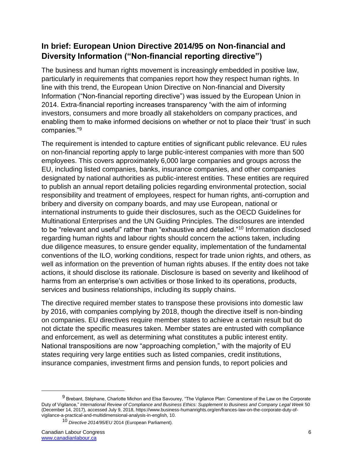# **In brief: European Union Directive 2014/95 on Non-financial and Diversity Information ("Non-financial reporting directive")**

The business and human rights movement is increasingly embedded in positive law, particularly in requirements that companies report how they respect human rights. In line with this trend, the European Union Directive on Non-financial and Diversity Information ("Non-financial reporting directive") was issued by the European Union in 2014. Extra-financial reporting increases transparency "with the aim of informing investors, consumers and more broadly all stakeholders on company practices, and enabling them to make informed decisions on whether or not to place their 'trust' in such companies."<sup>9</sup>

The requirement is intended to capture entities of significant public relevance. EU rules on non-financial reporting apply to large public-interest companies with more than 500 employees. This covers approximately 6,000 large companies and groups across the EU, including listed companies, banks, insurance companies, and other companies designated by national authorities as public-interest entities. These entities are required to publish an annual report detailing policies regarding environmental protection, social responsibility and treatment of employees, respect for human rights, anti-corruption and bribery and diversity on company boards, and may use European, national or international instruments to guide their disclosures, such as the OECD Guidelines for Multinational Enterprises and the UN Guiding Principles. The disclosures are intended to be "relevant and useful" rather than "exhaustive and detailed."<sup>10</sup> Information disclosed regarding human rights and labour rights should concern the actions taken, including due diligence measures, to ensure gender equality, implementation of the fundamental conventions of the ILO, working conditions, respect for trade union rights, and others, as well as information on the prevention of human rights abuses. If the entity does not take actions, it should disclose its rationale. Disclosure is based on severity and likelihood of harms from an enterprise's own activities or those linked to its operations, products, services and business relationships, including its supply chains.

The directive required member states to transpose these provisions into domestic law by 2016, with companies complying by 2018, though the directive itself is non-binding on companies. EU directives require member states to achieve a certain result but do not dictate the specific measures taken. Member states are entrusted with compliance and enforcement, as well as determining what constitutes a public interest entity. National transpositions are now "approaching completion," with the majority of EU states requiring very large entities such as listed companies, credit institutions, insurance companies, investment firms and pension funds, to report policies and

<sup>&</sup>lt;sup>9</sup> Brebant, Stéphane, Charlotte Michon and Elsa Savourey, "The Vigilance Plan: Cornerstone of the Law on the Corporate Duty of Vigilance," *International Review of Compliance and Business Ethics: Supplement to Business and Company Legal Week* 50 (December 14, 2017), accessed July 9, 2018, https://www.business-humanrights.org/en/frances-law-on-the-corporate-duty-ofvigilance-a-practical-and-multidimensional-analysis-in-english, 10.

<sup>10</sup> *Directive 2014/95/EU* 2014 (European Parliament).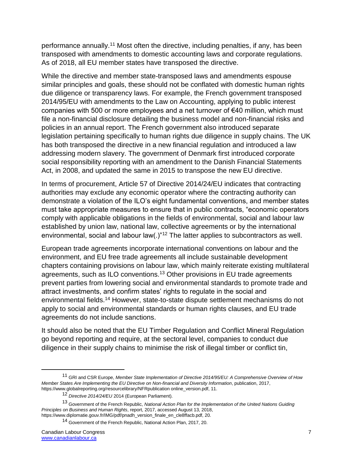performance annually.<sup>11</sup> Most often the directive, including penalties, if any, has been transposed with amendments to domestic accounting laws and corporate regulations. As of 2018, all EU member states have transposed the directive.

While the directive and member state-transposed laws and amendments espouse similar principles and goals, these should not be conflated with domestic human rights due diligence or transparency laws. For example, the French government transposed 2014/95/EU with amendments to the Law on Accounting, applying to public interest companies with 500 or more employees and a net turnover of €40 million, which must file a non-financial disclosure detailing the business model and non-financial risks and policies in an annual report. The French government also introduced separate legislation pertaining specifically to human rights due diligence in supply chains. The UK has both transposed the directive in a new financial regulation and introduced a law addressing modern slavery. The government of Denmark first introduced corporate social responsibility reporting with an amendment to the Danish Financial Statements Act, in 2008, and updated the same in 2015 to transpose the new EU directive.

In terms of procurement, Article 57 of Directive 2014/24/EU indicates that contracting authorities may exclude any economic operator where the contracting authority can demonstrate a violation of the ILO's eight fundamental conventions, and member states must take appropriate measures to ensure that in public contracts, "economic operators comply with applicable obligations in the fields of environmental, social and labour law established by union law, national law, collective agreements or by the international environmental, social and labour law(.)"<sup>12</sup> The latter applies to subcontractors as well.

European trade agreements incorporate international conventions on labour and the environment, and EU free trade agreements all include sustainable development chapters containing provisions on labour law, which mainly reiterate existing multilateral agreements, such as ILO conventions.<sup>13</sup> Other provisions in EU trade agreements prevent parties from lowering social and environmental standards to promote trade and attract investments, and confirm states' rights to regulate in the social and environmental fields.<sup>14</sup> However, state-to-state dispute settlement mechanisms do not apply to social and environmental standards or human rights clauses, and EU trade agreements do not include sanctions.

It should also be noted that the EU Timber Regulation and Conflict Mineral Regulation go beyond reporting and require, at the sectoral level, companies to conduct due diligence in their supply chains to minimise the risk of illegal timber or conflict tin,

<sup>11</sup> GRI and CSR Europe, *Member State Implementation of Directive 2014/95/EU: A Comprehensive Overview of How Member States Are Implementing the EU Directive on Non-financial and Diversity Information*, publication, 2017, https://www.globalreporting.org/resourcelibrary/NFRpublication online\_version.pdf, 11.

<sup>12</sup> *Directive 2014/24/EU* 2014 (European Parliament).

<sup>13</sup> Government of the French Republic, *National Action Plan for the Implementation of the United Nations Guiding Principles on Business and Human Rights*, report, 2017, accessed August 13, 2018, https://www.diplomatie.gouv.fr/IMG/pdf/pnadh\_version\_finale\_en\_cle8ffacb.pdf, 20.

<sup>14</sup> Government of the French Republic, National Action Plan, 2017, 20.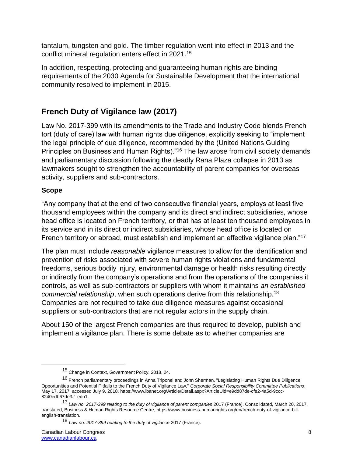tantalum, tungsten and gold. The timber regulation went into effect in 2013 and the conflict mineral regulation enters effect in 2021.<sup>15</sup>

In addition, respecting, protecting and guaranteeing human rights are binding requirements of the 2030 Agenda for Sustainable Development that the international community resolved to implement in 2015.

# **French Duty of Vigilance law (2017)**

Law No. 2017-399 with its amendments to the Trade and Industry Code blends French tort (duty of care) law with human rights due diligence, explicitly seeking to "implement the legal principle of due diligence, recommended by the (United Nations Guiding Principles on Business and Human Rights)."<sup>16</sup> The law arose from civil society demands and parliamentary discussion following the deadly Rana Plaza collapse in 2013 as lawmakers sought to strengthen the accountability of parent companies for overseas activity, suppliers and sub-contractors.

# **Scope**

 $\overline{a}$ 

"Any company that at the end of two consecutive financial years, employs at least five thousand employees within the company and its direct and indirect subsidiaries, whose head office is located on French territory, or that has at least ten thousand employees in its service and in its direct or indirect subsidiaries, whose head office is located on French territory or abroad, must establish and implement an effective vigilance plan."<sup>17</sup>

The plan must include *reasonable* vigilance measures to allow for the identification and prevention of risks associated with severe human rights violations and fundamental freedoms, serious bodily injury, environmental damage or health risks resulting directly or indirectly from the company's operations and from the operations of the companies it controls, as well as sub-contractors or suppliers with whom it maintains *an established commercial relationship*, when such operations derive from this relationship.<sup>18</sup> Companies are not required to take due diligence measures against occasional suppliers or sub-contractors that are not regular actors in the supply chain.

About 150 of the largest French companies are thus required to develop, publish and implement a vigilance plan. There is some debate as to whether companies are

<sup>15</sup> Change in Context, Government Policy, 2018, 24.

<sup>16</sup> French parliamentary proceedings in Anna Triponel and John Sherman, "Legislating Human Rights Due Diligence: Opportunities and Potential Pitfalls to the French Duty of Vigilance Law," *Corporate Social Responsibility Committee Publications*, May 17, 2017, accessed July 9, 2018, https://www.ibanet.org/Article/Detail.aspx?ArticleUid=e9dd87de-cfe2-4a5d-9ccc-8240edb67de3#\_edn1.

<sup>17</sup> *Law no. 2017-399 relating to the duty of vigilance of parent companies* 2017 (France). Consolidated, March 20, 2017, translated, Business & Human Rights Resource Centre, https://www.business-humanrights.org/en/french-duty-of-vigilance-billenglish-translation.

<sup>18</sup> *Law no. 2017-399 relating to the duty of vigilance* 2017 (France).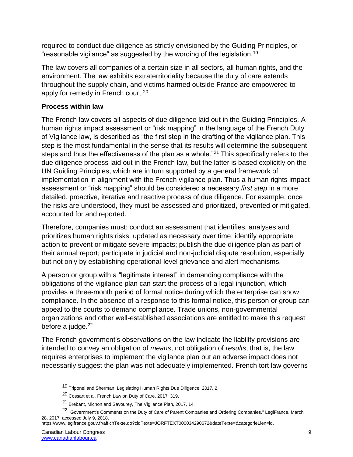required to conduct due diligence as strictly envisioned by the Guiding Principles, or "reasonable vigilance" as suggested by the wording of the legislation.<sup>19</sup>

The law covers all companies of a certain size in all sectors, all human rights, and the environment. The law exhibits extraterritoriality because the duty of care extends throughout the supply chain, and victims harmed outside France are empowered to apply for remedy in French court.<sup>20</sup>

# **Process within law**

The French law covers all aspects of due diligence laid out in the Guiding Principles. A human rights impact assessment or "risk mapping" in the language of the French Duty of Vigilance law, is described as "the first step in the drafting of the vigilance plan. This step is the most fundamental in the sense that its results will determine the subsequent steps and thus the effectiveness of the plan as a whole."<sup>21</sup> This specifically refers to the due diligence process laid out in the French law, but the latter is based explicitly on the UN Guiding Principles, which are in turn supported by a general framework of implementation in alignment with the French vigilance plan. Thus a human rights impact assessment or "risk mapping" should be considered a necessary *first step* in a more detailed, proactive, iterative and reactive process of due diligence. For example, once the risks are understood, they must be assessed and prioritized, prevented or mitigated, accounted for and reported.

Therefore, companies must: conduct an assessment that identifies, analyses and prioritizes human rights risks, updated as necessary over time; identify appropriate action to prevent or mitigate severe impacts; publish the due diligence plan as part of their annual report; participate in judicial and non-judicial dispute resolution, especially but not only by establishing operational-level grievance and alert mechanisms.

A person or group with a "legitimate interest" in demanding compliance with the obligations of the vigilance plan can start the process of a legal injunction, which provides a three-month period of formal notice during which the enterprise can show compliance. In the absence of a response to this formal notice, this person or group can appeal to the courts to demand compliance. Trade unions, non-governmental organizations and other well-established associations are entitled to make this request before a judge. $22$ 

The French government's observations on the law indicate the liability provisions are intended to convey an obligation of *means*, not obligation of *results*; that is, the law requires enterprises to implement the vigilance plan but an adverse impact does not necessarily suggest the plan was not adequately implemented. French tort law governs

<sup>19</sup> Triponel and Sherman, Legislating Human Rights Due Diligence, 2017, 2.

<sup>20</sup> Cossart et al, French Law on Duty of Care, 2017, 319.

<sup>21</sup> Brebant, Michon and Savourey, The Vigilance Plan, 2017, 14.

<sup>&</sup>lt;sup>22</sup> "Government's Comments on the Duty of Care of Parent Companies and Ordering Companies," LegiFrance, March 28, 2017, accessed July 9, 2018,

https://www.legifrance.gouv.fr/affichTexte.do?cidTexte=JORFTEXT000034290672&dateTexte=&categorieLien=id.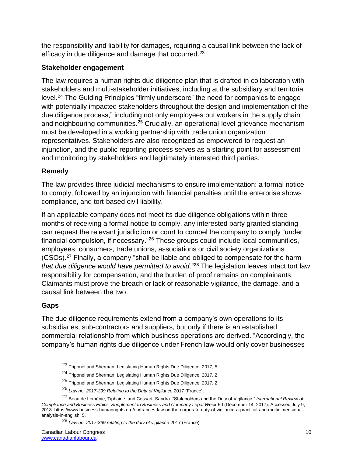the responsibility and liability for damages, requiring a causal link between the lack of efficacy in due diligence and damage that occurred.<sup>23</sup>

# **Stakeholder engagement**

The law requires a human rights due diligence plan that is drafted in collaboration with stakeholders and multi-stakeholder initiatives, including at the subsidiary and territorial level.<sup>24</sup> The Guiding Principles "firmly underscore" the need for companies to engage with potentially impacted stakeholders throughout the design and implementation of the due diligence process," including not only employees but workers in the supply chain and neighbouring communities.<sup>25</sup> Crucially, an operational-level grievance mechanism must be developed in a working partnership with trade union organization representatives. Stakeholders are also recognized as empowered to request an injunction, and the public reporting process serves as a starting point for assessment and monitoring by stakeholders and legitimately interested third parties.

# **Remedy**

The law provides three judicial mechanisms to ensure implementation: a formal notice to comply, followed by an injunction with financial penalties until the enterprise shows compliance, and tort-based civil liability.

If an applicable company does not meet its due diligence obligations within three months of receiving a formal notice to comply, any interested party granted standing can request the relevant jurisdiction or court to compel the company to comply "under financial compulsion, if necessary."<sup>26</sup> These groups could include local communities, employees, consumers, trade unions, associations or civil society organizations (CSOs).<sup>27</sup> Finally, a company "shall be liable and obliged to compensate for the harm *that due diligence would have permitted to avoid*."<sup>28</sup> The legislation leaves intact tort law responsibility for compensation, and the burden of proof remains on complainants. Claimants must prove the breach or lack of reasonable vigilance, the damage, and a causal link between the two.

# **Gaps**

 $\overline{a}$ 

The due diligence requirements extend from a company's own operations to its subsidiaries, sub-contractors and suppliers, but only if there is an established commercial relationship from which business operations are derived. "Accordingly, the company's human rights due diligence under French law would only cover businesses

<sup>&</sup>lt;sup>23</sup> Triponel and Sherman, Legislating Human Rights Due Diligence, 2017, 5.

<sup>&</sup>lt;sup>24</sup> Triponel and Sherman, Legislating Human Rights Due Diligence, 2017, 2.

<sup>25</sup> Triponel and Sherman, Legislating Human Rights Due Diligence, 2017, 2.

<sup>26</sup> *Law no. 2017-399 Relating to the Duty of Vigilance* 2017 (France).

<sup>27</sup> Beau de Loménie, Tiphaine, and Cossart, Sandra. "Staleholders and the Duty of Vigilance." *International Review of Compliance and Business Ethics: Supplement to Business and Company Legal Week* 50 (December 14, 2017). Accessed July 9, 2018. https://www.business-humanrights.org/en/frances-law-on-the-corporate-duty-of-vigilance-a-practical-and-multidimensionalanalysis-in-english, 5.

<sup>28</sup> *Law no. 2017-399 relating to the duty of vigilance* 2017 (France).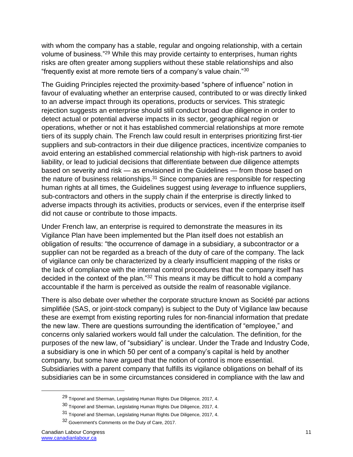with whom the company has a stable, regular and ongoing relationship, with a certain volume of business."<sup>29</sup> While this may provide certainty to enterprises, human rights risks are often greater among suppliers without these stable relationships and also "frequently exist at more remote tiers of a company's value chain."<sup>30</sup>

The Guiding Principles rejected the proximity-based "sphere of influence" notion in favour of evaluating whether an enterprise caused, contributed to or was directly linked to an adverse impact through its operations, products or services. This strategic rejection suggests an enterprise should still conduct broad due diligence in order to detect actual or potential adverse impacts in its sector, geographical region or operations, whether or not it has established commercial relationships at more remote tiers of its supply chain. The French law could result in enterprises prioritizing first-tier suppliers and sub-contractors in their due diligence practices, incentivize companies to avoid entering an established commercial relationship with high-risk partners to avoid liability, or lead to judicial decisions that differentiate between due diligence attempts based on severity and risk — as envisioned in the Guidelines — from those based on the nature of business relationships. $31$  Since companies are responsible for respecting human rights at all times, the Guidelines suggest using *leverage* to influence suppliers, sub-contractors and others in the supply chain if the enterprise is directly linked to adverse impacts through its activities, products or services, even if the enterprise itself did not cause or contribute to those impacts.

Under French law, an enterprise is required to demonstrate the measures in its Vigilance Plan have been implemented but the Plan itself does not establish an obligation of results: "the occurrence of damage in a subsidiary, a subcontractor or a supplier can not be regarded as a breach of the duty of care of the company. The lack of vigilance can only be characterized by a clearly insufficient mapping of the risks or the lack of compliance with the internal control procedures that the company itself has decided in the context of the plan."<sup>32</sup> This means it may be difficult to hold a company accountable if the harm is perceived as outside the realm of reasonable vigilance.

There is also debate over whether the corporate structure known as Société par actions simplifiée (SAS, or joint-stock company) is subject to the Duty of Vigilance law because these are exempt from existing reporting rules for non-financial information that predate the new law. There are questions surrounding the identification of "employee," and concerns only salaried workers would fall under the calculation. The definition, for the purposes of the new law, of "subsidiary" is unclear. Under the Trade and Industry Code, a subsidiary is one in which 50 per cent of a company's capital is held by another company, but some have argued that the notion of control is more essential. Subsidiaries with a parent company that fulfills its vigilance obligations on behalf of its subsidiaries can be in some circumstances considered in compliance with the law and

<sup>&</sup>lt;sup>29</sup> Triponel and Sherman, Legislating Human Rights Due Diligence, 2017, 4.

<sup>30</sup> Triponel and Sherman, Legislating Human Rights Due Diligence, 2017, 4.

<sup>31</sup> Triponel and Sherman, Legislating Human Rights Due Diligence, 2017, 4.

<sup>32</sup> Government's Comments on the Duty of Care, 2017.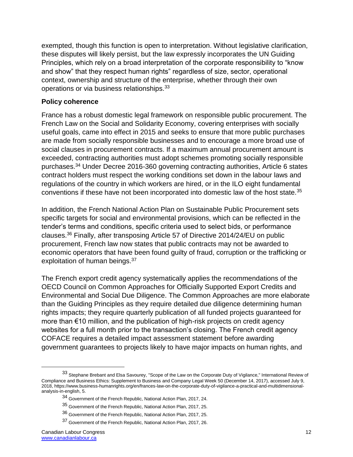exempted, though this function is open to interpretation. Without legislative clarification, these disputes will likely persist, but the law expressly incorporates the UN Guiding Principles, which rely on a broad interpretation of the corporate responsibility to "know and show" that they respect human rights" regardless of size, sector, operational context, ownership and structure of the enterprise, whether through their own operations or via business relationships.<sup>33</sup>

#### **Policy coherence**

France has a robust domestic legal framework on responsible public procurement. The French Law on the Social and Solidarity Economy, covering enterprises with socially useful goals, came into effect in 2015 and seeks to ensure that more public purchases are made from socially responsible businesses and to encourage a more broad use of social clauses in procurement contracts. If a maximum annual procurement amount is exceeded, contracting authorities must adopt schemes promoting socially responsible purchases.<sup>34</sup> Under Decree 2016-360 governing contracting authorities, Article 6 states contract holders must respect the working conditions set down in the labour laws and regulations of the country in which workers are hired, or in the ILO eight fundamental conventions if these have not been incorporated into domestic law of the host state.<sup>35</sup>

In addition, the French National Action Plan on Sustainable Public Procurement sets specific targets for social and environmental provisions, which can be reflected in the tender's terms and conditions, specific criteria used to select bids, or performance clauses.<sup>36</sup> Finally, after transposing Article 57 of Directive 2014/24/EU on public procurement, French law now states that public contracts may not be awarded to economic operators that have been found guilty of fraud, corruption or the trafficking or exploitation of human beings.<sup>37</sup>

The French export credit agency systematically applies the recommendations of the OECD Council on Common Approaches for Officially Supported Export Credits and Environmental and Social Due Diligence. The Common Approaches are more elaborate than the Guiding Principles as they require detailed due diligence determining human rights impacts; they require quarterly publication of all funded projects guaranteed for more than €10 million, and the publication of high-risk projects on credit agency websites for a full month prior to the transaction's closing. The French credit agency COFACE requires a detailed impact assessment statement before awarding government guarantees to projects likely to have major impacts on human rights, and

<sup>33</sup> Stephane Brebant and Elsa Savourey, "Scope of the Law on the Corporate Duty of Vigilance," International Review of Compliance and Business Ethics: Supplement to Business and Company Legal Week 50 (December 14, 2017), accessed July 9, 2018, https://www.business-humanrights.org/en/frances-law-on-the-corporate-duty-of-vigilance-a-practical-and-multidimensionalanalysis-in-english, 5.

<sup>34</sup> Government of the French Republic, National Action Plan, 2017, 24.

<sup>35</sup> Government of the French Republic, National Action Plan, 2017, 25.

<sup>36</sup> Government of the French Republic, National Action Plan, 2017, 25.

<sup>37</sup> Government of the French Republic, National Action Plan, 2017, 26.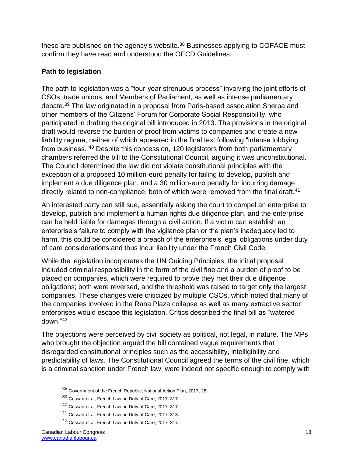these are published on the agency's website.<sup>38</sup> Businesses applying to COFACE must confirm they have read and understood the OECD Guidelines.

### **Path to legislation**

The path to legislation was a "four-year strenuous process" involving the joint efforts of CSOs, trade unions, and Members of Parliament, as well as intense parliamentary debate.<sup>39</sup> The law originated in a proposal from Paris-based association Sherpa and other members of the Citizens' Forum for Corporate Social Responsibility, who participated in drafting the original bill introduced in 2013. The provisions in the original draft would reverse the burden of proof from victims to companies and create a new liability regime, neither of which appeared in the final text following "intense lobbying from business."<sup>40</sup> Despite this concession, 120 legislators from both parliamentary chambers referred the bill to the Constitutional Council, arguing it was unconstitutional. The Council determined the law did not violate constitutional principles with the exception of a proposed 10 million-euro penalty for failing to develop, publish and implement a due diligence plan, and a 30 million-euro penalty for incurring damage directly related to non-compliance, both of which were removed from the final draft.<sup>41</sup>

An interested party can still sue, essentially asking the court to compel an enterprise to develop, publish and implement a human rights due diligence plan, and the enterprise can be held liable for damages through a civil action. If a victim can establish an enterprise's failure to comply with the vigilance plan or the plan's inadequacy led to harm, this could be considered a breach of the enterprise's legal obligations under duty of care considerations and thus incur liability under the French Civil Code.

While the legislation incorporates the UN Guiding Principles, the initial proposal included criminal responsibility in the form of the civil fine and a burden of proof to be placed on companies, which were required to prove they met their due diligence obligations; both were reversed, and the threshold was raised to target only the largest companies. These changes were criticized by multiple CSOs, which noted that many of the companies involved in the Rana Plaza collapse as well as many extractive sector enterprises would escape this legislation. Critics described the final bill as "watered down."<sup>42</sup>

The objections were perceived by civil society as political, not legal, in nature. The MPs who brought the objection argued the bill contained vague requirements that disregarded constitutional principles such as the accessibility, intelligibility and predictability of laws. The Constitutional Council agreed the terms of the civil fine, which is a criminal sanction under French law, were indeed not specific enough to comply with

<sup>38</sup> Government of the French Republic, National Action Plan, 2017, 28.

<sup>39</sup> Cossart et al, French Law on Duty of Care, 2017, 317.

<sup>40</sup> Cossart et al, French Law on Duty of Care, 2017, 317.

<sup>41</sup> Cossart et al, French Law on Duty of Care, 2017, 318.

<sup>42</sup> Cossart et al, French Law on Duty of Care, 2017, 317.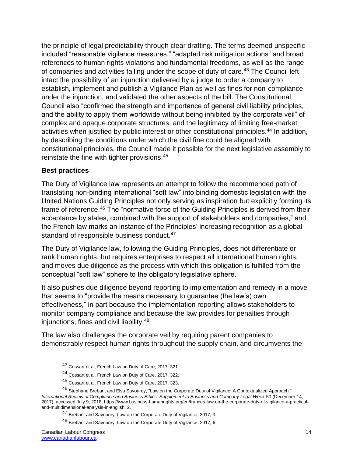the principle of legal predictability through clear drafting. The terms deemed unspecific included "reasonable vigilance measures," "adapted risk mitigation actions" and broad references to human rights violations and fundamental freedoms, as well as the range of companies and activities falling under the scope of duty of care.<sup>43</sup> The Council left intact the possibility of an injunction delivered by a judge to order a company to establish, implement and publish a Vigilance Plan as well as fines for non-compliance under the injunction, and validated the other aspects of the bill. The Constitutional Council also "confirmed the strength and importance of general civil liability principles, and the ability to apply them worldwide without being inhibited by the corporate veil" of complex and opaque corporate structures, and the legitimacy of limiting free-market activities when justified by public interest or other constitutional principles.<sup>44</sup> In addition, by describing the conditions under which the civil fine could be aligned with constitutional principles, the Council made it possible for the next legislative assembly to reinstate the fine with tighter provisions.<sup>45</sup>

#### **Best practices**

The Duty of Vigilance law represents an attempt to follow the recommended path of translating non-binding international "soft law" into binding domestic legislation with the United Nations Guiding Principles not only serving as inspiration but explicitly forming its frame of reference.<sup>46</sup> The "normative force of the Guiding Principles is derived from their acceptance by states, combined with the support of stakeholders and companies," and the French law marks an instance of the Principles' increasing recognition as a global standard of responsible business conduct.<sup>47</sup>

The Duty of Vigilance law, following the Guiding Principles, does not differentiate or rank human rights, but requires enterprises to respect all international human rights, and moves due diligence as the process with which this obligation is fulfilled from the conceptual "soft law" sphere to the obligatory legislative sphere.

It also pushes due diligence beyond reporting to implementation and remedy in a move that seems to "provide the means necessary to guarantee (the law's) own effectiveness," in part because the implementation reporting allows stakeholders to monitor company compliance and because the law provides for penalties through injunctions, fines and civil liability.<sup>48</sup>

The law also challenges the corporate veil by requiring parent companies to demonstrably respect human rights throughout the supply chain, and circumvents the

<sup>43</sup> Cossart et al, French Law on Duty of Care, 2017, 321.

<sup>44</sup> Cossart et al, French Law on Duty of Care, 2017, 322.

<sup>45</sup> Cossart et al, French Law on Duty of Care, 2017, 323.

<sup>46</sup> Stephane Brebant and Elsa Savourey, "Law on the Corporate Duty of Vigilance: A Contextualized Approach," *International Review of Compliance and Business Ethics: Supplement to Business and Company Legal Week* 50 (December 14, 2017), accessed July 9, 2018, https://www.business-humanrights.org/en/frances-law-on-the-corporate-duty-of-vigilance-a-practicaland-multidimensional-analysis-in-english, 2.

<sup>47</sup> Brebant and Savourey, Law on the Corporate Duty of Vigilance, 2017, 3.

<sup>48</sup> Brebant and Savourey, Law on the Corporate Duty of Vigilance, 2017, 6.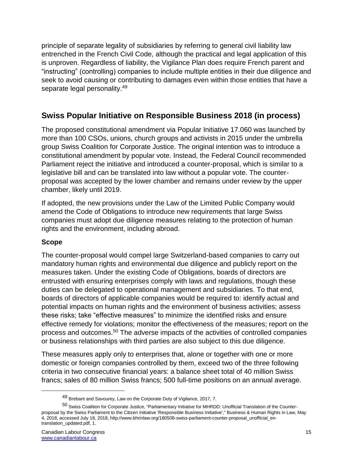principle of separate legality of subsidiaries by referring to general civil liability law entrenched in the French Civil Code, although the practical and legal application of this is unproven. Regardless of liability, the Vigilance Plan does require French parent and "instructing" (controlling) companies to include multiple entities in their due diligence and seek to avoid causing or contributing to damages even within those entities that have a separate legal personality.<sup>49</sup>

# **Swiss Popular Initiative on Responsible Business 2018 (in process)**

The proposed constitutional amendment via Popular Initiative 17.060 was launched by more than 100 CSOs, unions, church groups and activists in 2015 under the umbrella group Swiss Coalition for Corporate Justice. The original intention was to introduce a constitutional amendment by popular vote. Instead, the Federal Council recommended Parliament reject the initiative and introduced a counter-proposal, which is similar to a legislative bill and can be translated into law without a popular vote. The counterproposal was accepted by the lower chamber and remains under review by the upper chamber, likely until 2019.

If adopted, the new provisions under the Law of the Limited Public Company would amend the Code of Obligations to introduce new requirements that large Swiss companies must adopt due diligence measures relating to the protection of human rights and the environment, including abroad.

# **Scope**

The counter-proposal would compel large Switzerland-based companies to carry out mandatory human rights and environmental due diligence and publicly report on the measures taken. Under the existing Code of Obligations, boards of directors are entrusted with ensuring enterprises comply with laws and regulations, though these duties can be delegated to operational management and subsidiaries. To that end, boards of directors of applicable companies would be required to: identify actual and potential impacts on human rights and the environment of business activities; assess these risks; take "effective measures" to minimize the identified risks and ensure effective remedy for violations; monitor the effectiveness of the measures; report on the process and outcomes.<sup>50</sup> The adverse impacts of the activities of controlled companies or business relationships with third parties are also subject to this due diligence.

These measures apply only to enterprises that, alone or together with one or more domestic or foreign companies controlled by them, exceed two of the three following criteria in two consecutive financial years: a balance sheet total of 40 million Swiss francs; sales of 80 million Swiss francs; 500 full-time positions on an annual average.

<sup>49</sup> Brebant and Savourey, Law on the Corporate Duty of Vigilance, 2017, 7.

<sup>50</sup> Swiss Coalition for Corporate Justice, "Parliamentary Initiative for MHRDD: Unofficial Translation of the Counterproposal by the Swiss Parliament to the Citizen Initiative 'Responsible Business Initiative'," Business & Human Rights in Law, May 4, 2018, accessed July 18, 2018, http://www.bhrinlaw.org/180508-swiss-parliament-counter-proposal\_unofficial\_entranslation\_updated.pdf, 1.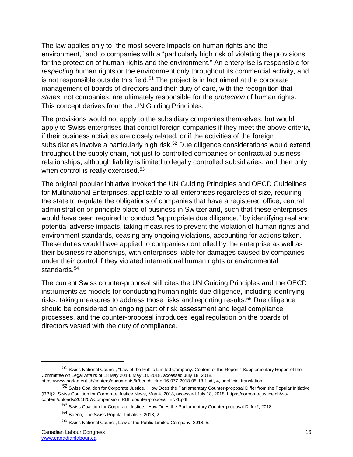The law applies only to "the most severe impacts on human rights and the environment," and to companies with a "particularly high risk of violating the provisions for the protection of human rights and the environment." An enterprise is responsible for *respecting* human rights or the environment only throughout its commercial activity, and is not responsible outside this field.<sup>51</sup> The project is in fact aimed at the corporate management of boards of directors and their duty of care, with the recognition that *states*, not companies, are ultimately responsible for the *protection* of human rights. This concept derives from the UN Guiding Principles.

The provisions would not apply to the subsidiary companies themselves, but would apply to Swiss enterprises that control foreign companies if they meet the above criteria, if their business activities are closely related, or if the activities of the foreign subsidiaries involve a particularly high risk.<sup>52</sup> Due diligence considerations would extend throughout the supply chain, not just to controlled companies or contractual business relationships, although liability is limited to legally controlled subsidiaries, and then only when control is really exercised.<sup>53</sup>

The original popular initiative invoked the UN Guiding Principles and OECD Guidelines for Multinational Enterprises, applicable to all enterprises regardless of size, requiring the state to regulate the obligations of companies that have a registered office, central administration or principle place of business in Switzerland, such that these enterprises would have been required to conduct "appropriate due diligence," by identifying real and potential adverse impacts, taking measures to prevent the violation of human rights and environment standards, ceasing any ongoing violations, accounting for actions taken. These duties would have applied to companies controlled by the enterprise as well as their business relationships, with enterprises liable for damages caused by companies under their control if they violated international human rights or environmental standards.<sup>54</sup>

The current Swiss counter-proposal still cites the UN Guiding Principles and the OECD instruments as models for conducting human rights due diligence, including identifying risks, taking measures to address those risks and reporting results.<sup>55</sup> Due diligence should be considered an ongoing part of risk assessment and legal compliance processes, and the counter-proposal introduces legal regulation on the boards of directors vested with the duty of compliance.

<sup>51</sup> Swiss National Council, "Law of the Public Limited Company: Content of the Report," Supplementary Report of the Committee on Legal Affairs of 18 May 2018, May 18, 2018, accessed July 18, 2018,

https://www.parlament.ch/centers/documents/fr/bericht-rk-n-16-077-2018-05-18-f.pdf, 4, unofficial translation.

<sup>&</sup>lt;sup>52</sup> Swiss Coalition for Corporate Justice, "How Does the Parliamentary Counter-proposal Differ from the Popular Initiative (RBI)?" Swiss Coalition for Corporate Justice News, May 4, 2018, accessed July 18, 2018, https://corporatejustice.ch/wpcontent/uploads/2018/07/Comparision\_RBI\_counter-proposal\_EN-1.pdf.

<sup>53</sup> Swiss Coalition for Corporate Justice, "How Does the Parliamentary Counter-proposal Differ?, 2018.

<sup>54</sup> Bueno, The Swiss Popular Initiative, 2018, 2.

<sup>55</sup> Swiss National Council, Law of the Public Limited Company, 2018, 5.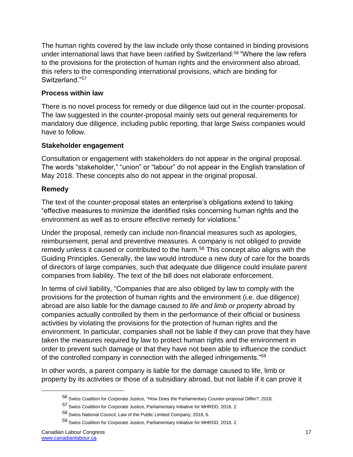The human rights covered by the law include only those contained in binding provisions under international laws that have been ratified by Switzerland:<sup>56</sup> "Where the law refers to the provisions for the protection of human rights and the environment also abroad, this refers to the corresponding international provisions, which are binding for Switzerland."<sup>57</sup>

### **Process within law**

There is no novel process for remedy or due diligence laid out in the counter-proposal. The law suggested in the counter-proposal mainly sets out general requirements for mandatory due diligence, including public reporting, that large Swiss companies would have to follow.

### **Stakeholder engagement**

Consultation or engagement with stakeholders do not appear in the original proposal. The words "stakeholder," "union" or "labour" do not appear in the English translation of May 2018. These concepts also do not appear in the original proposal.

### **Remedy**

The text of the counter-proposal states an enterprise's obligations extend to taking "effective measures to minimize the identified risks concerning human rights and the environment as well as to ensure effective remedy for violations."

Under the proposal, remedy can include non-financial measures such as apologies, reimbursement, penal and preventive measures. A company is not obliged to provide remedy unless it caused or contributed to the harm.<sup>58</sup> This concept also aligns with the Guiding Principles. Generally, the law would introduce a new duty of care for the boards of directors of large companies, such that adequate due diligence could insulate parent companies from liability. The text of the bill does not elaborate enforcement.

In terms of civil liability, "Companies that are also obliged by law to comply with the provisions for the protection of human rights and the environment (i.e. due diligence) abroad are also liable for the damage caused *to life and limb or property* abroad by companies actually controlled by them in the performance of their official or business activities by violating the provisions for the protection of human rights and the environment. In particular, companies shall not be liable if they can prove that they have taken the measures required by law to protect human rights and the environment in order to prevent such damage or that they have not been able to influence the conduct of the controlled company in connection with the alleged infringements."<sup>59</sup>

In other words, a parent company is liable for the damage caused to life, limb or property by its activities or those of a subsidiary abroad, but not liable if it can prove it

<sup>56</sup> Swiss Coalition for Corporate Justice, "How Does the Parliamentary Counter-proposal Differ?, 2018.

<sup>57</sup> Swiss Coalition for Corporate Justice, Parliamentary Initiative for MHRDD, 2018, 2.

<sup>58</sup> Swiss National Council, Law of the Public Limited Company, 2018, 6.

<sup>59</sup> Swiss Coalition for Corporate Justice, Parliamentary Initiative for MHRDD, 2018, 2.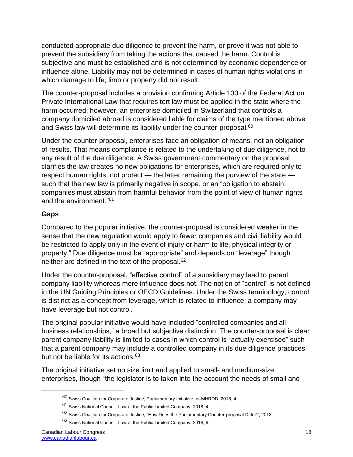conducted appropriate due diligence to prevent the harm, or prove it was not able to prevent the subsidiary from taking the actions that caused the harm. Control is subjective and must be established and is not determined by economic dependence or influence alone. Liability may not be determined in cases of human rights violations in which damage to life, limb or property did not result.

The counter-proposal includes a provision confirming Article 133 of the Federal Act on Private International Law that requires tort law must be applied in the state where the harm occurred; however, an enterprise domiciled in Switzerland that controls a company domiciled abroad is considered liable for claims of the type mentioned above and Swiss law will determine its liability under the counter-proposal.<sup>60</sup>

Under the counter-proposal, enterprises face an obligation of means, not an obligation of results. That means compliance is related to the undertaking of due diligence, not to any result of the due diligence. A Swiss government commentary on the proposal clarifies the law creates no new obligations for enterprises, which are required only to respect human rights, not protect — the latter remaining the purview of the state such that the new law is primarily negative in scope, or an "obligation to abstain: companies must abstain from harmful behavior from the point of view of human rights and the environment."<sup>61</sup>

# **Gaps**

Compared to the popular initiative, the counter-proposal is considered weaker in the sense that the new regulation would apply to fewer companies and civil liability would be restricted to apply only in the event of injury or harm to life, physical integrity or property." Due diligence must be "appropriate" and depends on "leverage" though neither are defined in the text of the proposal.<sup>62</sup>

Under the counter-proposal, "effective control" of a subsidiary may lead to parent company liability whereas mere influence does not. The notion of "control" is not defined in the UN Guiding Principles or OECD Guidelines. Under the Swiss terminology, control is distinct as a concept from leverage, which is related to influence; a company may have leverage but not control.

The original popular initiative would have included "controlled companies and all business relationships," a broad but subjective distinction. The counter-proposal is clear parent company liability is limited to cases in which control is "actually exercised" such that a parent company may include a controlled company in its due diligence practices but not be liable for its actions.<sup>63</sup>

The original initiative set no size limit and applied to small- and medium-size enterprises, though "the legislator is to taken into the account the needs of small and

<sup>60</sup> Swiss Coalition for Corporate Justice, Parliamentary Initiative for MHRDD, 2018, 4.

<sup>61</sup> Swiss National Council, Law of the Public Limited Company, 2018, 4.

<sup>62</sup> Swiss Coalition for Corporate Justice, "How Does the Parliamentary Counter-proposal Differ?, 2018.

<sup>63</sup> Swiss National Council, Law of the Public Limited Company, 2018, 6.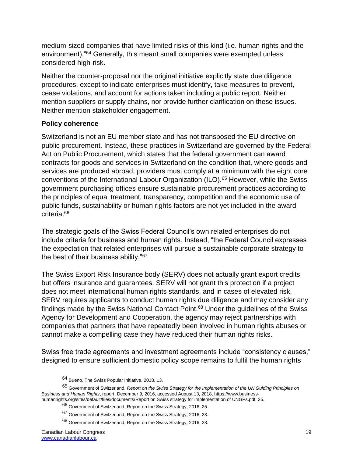medium-sized companies that have limited risks of this kind (i.e. human rights and the environment)."<sup>64</sup> Generally, this meant small companies were exempted unless considered high-risk.

Neither the counter-proposal nor the original initiative explicitly state due diligence procedures, except to indicate enterprises must identify, take measures to prevent, cease violations, and account for actions taken including a public report. Neither mention suppliers or supply chains, nor provide further clarification on these issues. Neither mention stakeholder engagement.

### **Policy coherence**

Switzerland is not an EU member state and has not transposed the EU directive on public procurement. Instead, these practices in Switzerland are governed by the Federal Act on Public Procurement, which states that the federal government can award contracts for goods and services in Switzerland on the condition that, where goods and services are produced abroad, providers must comply at a minimum with the eight core conventions of the International Labour Organization (ILO).<sup>65</sup> However, while the Swiss government purchasing offices ensure sustainable procurement practices according to the principles of equal treatment, transparency, competition and the economic use of public funds, sustainability or human rights factors are not yet included in the award criteria.<sup>66</sup>

The strategic goals of the Swiss Federal Council's own related enterprises do not include criteria for business and human rights. Instead, "the Federal Council expresses the expectation that related enterprises will pursue a sustainable corporate strategy to the best of their business ability."<sup>67</sup>

The Swiss Export Risk Insurance body (SERV) does not actually grant export credits but offers insurance and guarantees. SERV will not grant this protection if a project does not meet international human rights standards, and in cases of elevated risk, SERV requires applicants to conduct human rights due diligence and may consider any findings made by the Swiss National Contact Point.<sup>68</sup> Under the guidelines of the Swiss Agency for Development and Cooperation, the agency may reject partnerships with companies that partners that have repeatedly been involved in human rights abuses or cannot make a compelling case they have reduced their human rights risks.

Swiss free trade agreements and investment agreements include "consistency clauses," designed to ensure sufficient domestic policy scope remains to fulfil the human rights

<sup>64</sup> Bueno, The Swiss Popular Initiative, 2018, 13.

<sup>65</sup> Government of Switzerland, *Report on the Swiss Strategy for the Implementation of the UN Guiding Principles on Business and Human Rights*, report, December 9, 2016, accessed August 13, 2018, https://www.businesshumanrights.org/sites/default/files/documents/Report on Swiss strategy for implementation of UNGPs.pdf, 25.

<sup>66</sup> Government of Switzerland, Report on the Swiss Strategy, 2016, 25.

<sup>67</sup> Government of Switzerland, Report on the Swiss Strategy, 2016, 23.

<sup>68</sup> Government of Switzerland, Report on the Swiss Strategy, 2016, 23.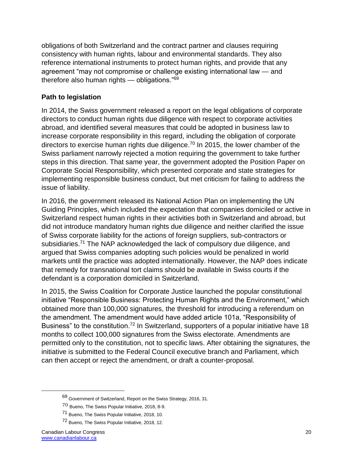obligations of both Switzerland and the contract partner and clauses requiring consistency with human rights, labour and environmental standards. They also reference international instruments to protect human rights, and provide that any agreement "may not compromise or challenge existing international law — and therefore also human rights — obligations."<sup>69</sup>

### **Path to legislation**

In 2014, the Swiss government released a report on the legal obligations of corporate directors to conduct human rights due diligence with respect to corporate activities abroad, and identified several measures that could be adopted in business law to increase corporate responsibility in this regard, including the obligation of corporate directors to exercise human rights due diligence.<sup>70</sup> In 2015, the lower chamber of the Swiss parliament narrowly rejected a motion requiring the government to take further steps in this direction. That same year, the government adopted the Position Paper on Corporate Social Responsibility, which presented corporate and state strategies for implementing responsible business conduct, but met criticism for failing to address the issue of liability.

In 2016, the government released its National Action Plan on implementing the UN Guiding Principles, which included the expectation that companies domiciled or active in Switzerland respect human rights in their activities both in Switzerland and abroad, but did not introduce mandatory human rights due diligence and neither clarified the issue of Swiss corporate liability for the actions of foreign suppliers, sub-contractors or subsidiaries.<sup>71</sup> The NAP acknowledged the lack of compulsory due diligence, and argued that Swiss companies adopting such policies would be penalized in world markets until the practice was adopted internationally. However, the NAP does indicate that remedy for transnational tort claims should be available in Swiss courts if the defendant is a corporation domiciled in Switzerland.

In 2015, the Swiss Coalition for Corporate Justice launched the popular constitutional initiative "Responsible Business: Protecting Human Rights and the Environment," which obtained more than 100,000 signatures, the threshold for introducing a referendum on the amendment. The amendment would have added article 101a, "Responsibility of Business" to the constitution.<sup>72</sup> In Switzerland, supporters of a popular initiative have 18 months to collect 100,000 signatures from the Swiss electorate. Amendments are permitted only to the constitution, not to specific laws. After obtaining the signatures, the initiative is submitted to the Federal Council executive branch and Parliament, which can then accept or reject the amendment, or draft a counter-proposal.

<sup>69</sup> Government of Switzerland, Report on the Swiss Strategy, 2016, 31.

<sup>70</sup> Bueno, The Swiss Popular Initiative, 2018, 8-9.

<sup>71</sup> Bueno, The Swiss Popular Initiative, 2018, 10.

<sup>72</sup> Bueno, The Swiss Popular Initiative, 2018, 12.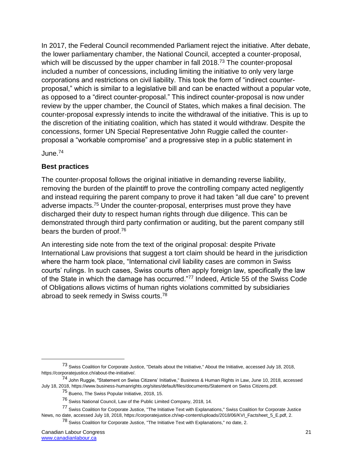In 2017, the Federal Council recommended Parliament reject the initiative. After debate, the lower parliamentary chamber, the National Council, accepted a counter-proposal, which will be discussed by the upper chamber in fall 2018.<sup>73</sup> The counter-proposal included a number of concessions, including limiting the initiative to only very large corporations and restrictions on civil liability. This took the form of "indirect counterproposal," which is similar to a legislative bill and can be enacted without a popular vote, as opposed to a "direct counter-proposal." This indirect counter-proposal is now under review by the upper chamber, the Council of States, which makes a final decision. The counter-proposal expressly intends to incite the withdrawal of the initiative. This is up to the discretion of the initiating coalition, which has stated it would withdraw. Despite the concessions, former UN Special Representative John Ruggie called the counterproposal a "workable compromise" and a progressive step in a public statement in

June.<sup>74</sup>

# **Best practices**

The counter-proposal follows the original initiative in demanding reverse liability, removing the burden of the plaintiff to prove the controlling company acted negligently and instead requiring the parent company to prove it had taken "all due care" to prevent adverse impacts.<sup>75</sup> Under the counter-proposal, enterprises must prove they have discharged their duty to respect human rights through due diligence. This can be demonstrated through third party confirmation or auditing, but the parent company still bears the burden of proof.<sup>76</sup>

An interesting side note from the text of the original proposal: despite Private International Law provisions that suggest a tort claim should be heard in the jurisdiction where the harm took place, "International civil liability cases are common in Swiss courts' rulings. In such cases, Swiss courts often apply foreign law, specifically the law of the State in which the damage has occurred."<sup>77</sup> Indeed, Article 55 of the Swiss Code of Obligations allows victims of human rights violations committed by subsidiaries abroad to seek remedy in Swiss courts.<sup>78</sup>

<sup>&</sup>lt;sup>73</sup> Swiss Coalition for Corporate Justice, "Details about the Initiative," About the Initiative, accessed July 18, 2018, https://corporatejustice.ch/about-the-initiative/.

<sup>74</sup> John Ruggie, "Statement on Swiss Citizens' Initiative," Business & Human Rights in Law, June 10, 2018, accessed July 18, 2018, https://www.business-humanrights.org/sites/default/files/documents/Statement on Swiss Citizens.pdf.

<sup>75</sup> Bueno, The Swiss Popular Initiative, 2018, 15.

<sup>76</sup> Swiss National Council, Law of the Public Limited Company, 2018, 14.

<sup>&</sup>lt;sup>77</sup> Swiss Coalition for Corporate Justice, "The Initiative Text with Explanations," Swiss Coalition for Corporate Justice News, no date, accessed July 18, 2018, https://corporatejustice.ch/wp-content/uploads/2018/06/KVI\_Factsheet\_5\_E.pdf, 2.

<sup>78</sup> Swiss Coalition for Corporate Justice, "The Initiative Text with Explanations," no date, 2.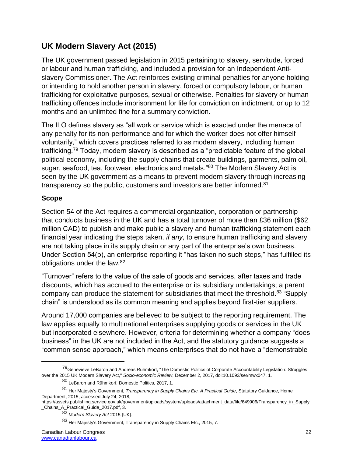# **UK Modern Slavery Act (2015)**

The UK government passed legislation in 2015 pertaining to slavery, servitude, forced or labour and human trafficking, and included a provision for an Independent Antislavery Commissioner. The Act reinforces existing criminal penalties for anyone holding or intending to hold another person in slavery, forced or compulsory labour, or human trafficking for exploitative purposes, sexual or otherwise. Penalties for slavery or human trafficking offences include imprisonment for life for conviction on indictment, or up to 12 months and an unlimited fine for a summary conviction.

The ILO defines slavery as "all work or service which is exacted under the menace of any penalty for its non-performance and for which the worker does not offer himself voluntarily," which covers practices referred to as modern slavery, including human trafficking.<sup>79</sup> Today, modern slavery is described as a "predictable feature of the global political economy, including the supply chains that create buildings, garments, palm oil, sugar, seafood, tea, footwear, electronics and metals."80 The Modern Slavery Act is seen by the UK government as a means to prevent modern slavery through increasing transparency so the public, customers and investors are better informed.<sup>81</sup>

### **Scope**

 $\overline{a}$ 

Section 54 of the Act requires a commercial organization, corporation or partnership that conducts business in the UK and has a total turnover of more than £36 million (\$62 million CAD) to publish and make public a slavery and human trafficking statement each financial year indicating the steps taken, *if any*, to ensure human trafficking and slavery are not taking place in its supply chain or any part of the enterprise's own business. Under Section 54(b), an enterprise reporting it "has taken no such steps," has fulfilled its obligations under the law.<sup>82</sup>

"Turnover" refers to the value of the sale of goods and services, after taxes and trade discounts, which has accrued to the enterprise or its subsidiary undertakings; a parent company can produce the statement for subsidiaries that meet the threshold.<sup>83</sup> "Supply chain" is understood as its common meaning and applies beyond first-tier suppliers.

Around 17,000 companies are believed to be subject to the reporting requirement. The law applies equally to multinational enterprises supplying goods or services in the UK but incorporated elsewhere. However, criteria for determining whether a company "does business" in the UK are not included in the Act, and the statutory guidance suggests a "common sense approach," which means enterprises that do not have a "demonstrable

<sup>79</sup> Genevieve LeBaron and Andreas Rühmkorf, "The Domestic Politics of Corporate Accountability Legislation: Struggles over the 2015 UK Modern Slavery Act," *Socio-economic Review*, December 2, 2017, doi:10.1093/ser/mwx047, 1.

<sup>80</sup> LeBaron and Rühmkorf, Domestic Politics, 2017, 1.

<sup>81</sup> Her Majesty's Government, *Transparency in Supply Chains Etc. A Practical Guide*, Statutory Guidance, Home Department, 2015, accessed July 24, 2018,

https://assets.publishing.service.gov.uk/government/uploads/system/uploads/attachment\_data/file/649906/Transparency\_in\_Supply \_Chains\_A\_Practical\_Guide\_2017.pdf, 3.

<sup>82</sup> *Modern Slavery Act* 2015 (UK).

<sup>83</sup> Her Majesty's Government, Transparency in Supply Chains Etc., 2015, 7.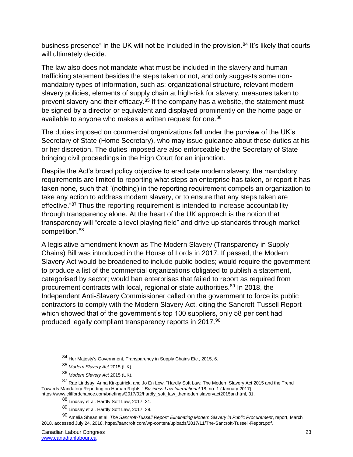business presence" in the UK will not be included in the provision. $84$  It's likely that courts will ultimately decide.

The law also does not mandate what must be included in the slavery and human trafficking statement besides the steps taken or not, and only suggests some nonmandatory types of information, such as: organizational structure, relevant modern slavery policies, elements of supply chain at high-risk for slavery, measures taken to prevent slavery and their efficacy.<sup>85</sup> If the company has a website, the statement must be signed by a director or equivalent and displayed prominently on the home page or available to anyone who makes a written request for one.<sup>86</sup>

The duties imposed on commercial organizations fall under the purview of the UK's Secretary of State (Home Secretary), who may issue guidance about these duties at his or her discretion. The duties imposed are also enforceable by the Secretary of State bringing civil proceedings in the High Court for an injunction.

Despite the Act's broad policy objective to eradicate modern slavery, the mandatory requirements are limited to reporting what steps an enterprise has taken, or report it has taken none, such that "(nothing) in the reporting requirement compels an organization to take any action to address modern slavery, or to ensure that any steps taken are effective."<sup>87</sup> Thus the reporting requirement is intended to increase accountability through transparency alone. At the heart of the UK approach is the notion that transparency will "create a level playing field" and drive up standards through market competition.<sup>88</sup>

A legislative amendment known as The Modern Slavery (Transparency in Supply Chains) Bill was introduced in the House of Lords in 2017. If passed, the Modern Slavery Act would be broadened to include public bodies; would require the government to produce a list of the commercial organizations obligated to publish a statement, categorised by sector; would ban enterprises that failed to report as required from procurement contracts with local, regional or state authorities.<sup>89</sup> In 2018, the Independent Anti-Slavery Commissioner called on the government to force its public contractors to comply with the Modern Slavery Act, citing the Sancroft-Tussell Report which showed that of the government's top 100 suppliers, only 58 per cent had produced legally compliant transparency reports in 2017.<sup>90</sup>

<sup>84</sup> Her Majesty's Government, Transparency in Supply Chains Etc., 2015, 6.

<sup>85</sup> *Modern Slavery Act* 2015 (UK).

<sup>86</sup> *Modern Slavery Act* 2015 (UK).

<sup>87</sup> Rae Lindsay, Anna Kirkpatrick, and Jo En Low, "Hardly Soft Law: The Modern Slavery Act 2015 and the Trend Towards Mandatory Reporting on Human Rights," *Business Law International* 18, no. 1 (January 2017), https://www.cliffordchance.com/briefings/2017/02/hardly\_soft\_law\_themodernslaveryact2015an.html, 31.

<sup>88</sup> Lindsay et al, Hardly Soft Law, 2017, 31.

<sup>89</sup> Lindsay et al, Hardly Soft Law, 2017, 39.

<sup>90</sup> Amelia Shean et al, *The Sancroft-Tussell Report: Eliminating Modern Slavery in Public Procurement*, report, March 2018, accessed July 24, 2018, https://sancroft.com/wp-content/uploads/2017/11/The-Sancroft-Tussell-Report.pdf.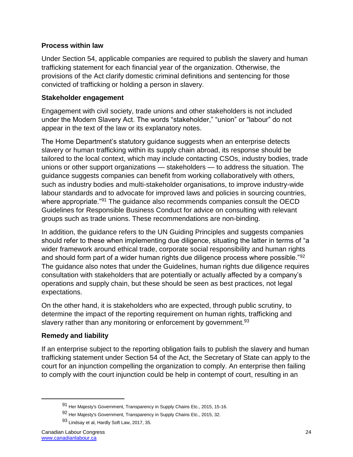### **Process within law**

Under Section 54, applicable companies are required to publish the slavery and human trafficking statement for each financial year of the organization. Otherwise, the provisions of the Act clarify domestic criminal definitions and sentencing for those convicted of trafficking or holding a person in slavery.

#### **Stakeholder engagement**

Engagement with civil society, trade unions and other stakeholders is not included under the Modern Slavery Act. The words "stakeholder," "union" or "labour" do not appear in the text of the law or its explanatory notes.

The Home Department's statutory guidance suggests when an enterprise detects slavery or human trafficking within its supply chain abroad, its response should be tailored to the local context, which may include contacting CSOs, industry bodies, trade unions or other support organizations — stakeholders — to address the situation. The guidance suggests companies can benefit from working collaboratively with others, such as industry bodies and multi-stakeholder organisations, to improve industry-wide labour standards and to advocate for improved laws and policies in sourcing countries, where appropriate.<sup>"91</sup> The quidance also recommends companies consult the OECD Guidelines for Responsible Business Conduct for advice on consulting with relevant groups such as trade unions. These recommendations are non-binding.

In addition, the guidance refers to the UN Guiding Principles and suggests companies should refer to these when implementing due diligence, situating the latter in terms of "a wider framework around ethical trade, corporate social responsibility and human rights and should form part of a wider human rights due diligence process where possible."<sup>92</sup> The guidance also notes that under the Guidelines, human rights due diligence requires consultation with stakeholders that are potentially or actually affected by a company's operations and supply chain, but these should be seen as best practices, not legal expectations.

On the other hand, it is stakeholders who are expected, through public scrutiny, to determine the impact of the reporting requirement on human rights, trafficking and slavery rather than any monitoring or enforcement by government.<sup>93</sup>

### **Remedy and liability**

If an enterprise subject to the reporting obligation fails to publish the slavery and human trafficking statement under Section 54 of the Act, the Secretary of State can apply to the court for an injunction compelling the organization to comply. An enterprise then failing to comply with the court injunction could be help in contempt of court, resulting in an

<sup>91</sup> Her Majesty's Government, Transparency in Supply Chains Etc., 2015, 15-16.

<sup>92</sup> Her Majesty's Government, Transparency in Supply Chains Etc., 2015, 32.

<sup>93</sup> Lindsay et al, Hardly Soft Law, 2017, 35.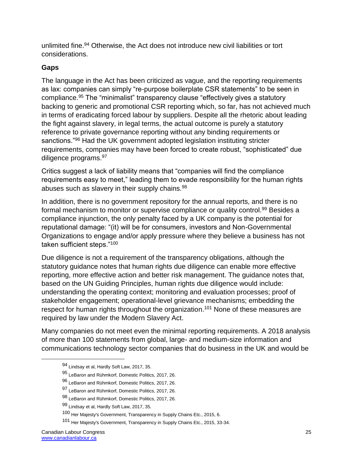unlimited fine.<sup>94</sup> Otherwise, the Act does not introduce new civil liabilities or tort considerations.

### **Gaps**

The language in the Act has been criticized as vague, and the reporting requirements as lax: companies can simply "re-purpose boilerplate CSR statements" to be seen in compliance. <sup>95</sup> The "minimalist" transparency clause "effectively gives a statutory backing to generic and promotional CSR reporting which, so far, has not achieved much in terms of eradicating forced labour by suppliers. Despite all the rhetoric about leading the fight against slavery, in legal terms, the actual outcome is purely a statutory reference to private governance reporting without any binding requirements or sanctions."<sup>96</sup> Had the UK government adopted legislation instituting stricter requirements, companies may have been forced to create robust, "sophisticated" due diligence programs. 97

Critics suggest a lack of liability means that "companies will find the compliance requirements easy to meet," leading them to evade responsibility for the human rights abuses such as slavery in their supply chains.<sup>98</sup>

In addition, there is no government repository for the annual reports, and there is no formal mechanism to monitor or supervise compliance or quality control.<sup>99</sup> Besides a compliance injunction, the only penalty faced by a UK company is the potential for reputational damage: "(it) will be for consumers, investors and Non-Governmental Organizations to engage and/or apply pressure where they believe a business has not taken sufficient steps."<sup>100</sup>

Due diligence is not a requirement of the transparency obligations, although the statutory guidance notes that human rights due diligence can enable more effective reporting, more effective action and better risk management. The guidance notes that, based on the UN Guiding Principles, human rights due diligence would include: understanding the operating context; monitoring and evaluation processes; proof of stakeholder engagement; operational-level grievance mechanisms; embedding the respect for human rights throughout the organization.<sup>101</sup> None of these measures are required by law under the Modern Slavery Act.

Many companies do not meet even the minimal reporting requirements. A 2018 analysis of more than 100 statements from global, large- and medium-size information and communications technology sector companies that do business in the UK and would be

<sup>94</sup> Lindsay et al, Hardly Soft Law, 2017, 35.

<sup>95</sup> LeBaron and Rühmkorf, Domestic Politics, 2017, 26.

<sup>96</sup> LeBaron and Rühmkorf, Domestic Politics, 2017, 26.

<sup>97</sup> LeBaron and Rühmkorf, Domestic Politics, 2017, 26.

<sup>98</sup> LeBaron and Rühmkorf, Domestic Politics, 2017, 26.

<sup>99</sup> Lindsay et al, Hardly Soft Law, 2017, 35.

<sup>100</sup> Her Majesty's Government, Transparency in Supply Chains Etc., 2015, 6.

<sup>101</sup> Her Majesty's Government, Transparency in Supply Chains Etc., 2015, 33-34.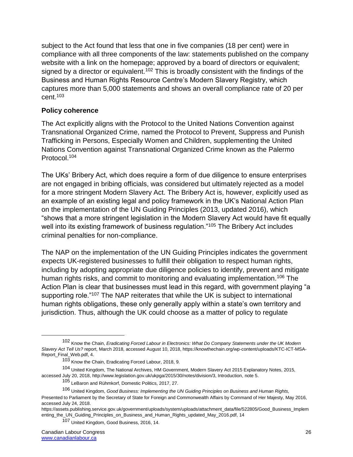subject to the Act found that less that one in five companies (18 per cent) were in compliance with all three components of the law: statements published on the company website with a link on the homepage; approved by a board of directors or equivalent; signed by a director or equivalent.<sup>102</sup> This is broadly consistent with the findings of the Business and Human Rights Resource Centre's Modern Slavery Registry, which captures more than 5,000 statements and shows an overall compliance rate of 20 per cent.<sup>103</sup>

#### **Policy coherence**

The Act explicitly aligns with the Protocol to the United Nations Convention against Transnational Organized Crime, named the Protocol to Prevent, Suppress and Punish Trafficking in Persons, Especially Women and Children, supplementing the United Nations Convention against Transnational Organized Crime known as the Palermo Protocol.<sup>104</sup>

The UKs' Bribery Act, which does require a form of due diligence to ensure enterprises are not engaged in bribing officials, was considered but ultimately rejected as a model for a more stringent Modern Slavery Act. The Bribery Act is, however, explicitly used as an example of an existing legal and policy framework in the UK's National Action Plan on the implementation of the UN Guiding Principles (2013, updated 2016), which "shows that a more stringent legislation in the Modern Slavery Act would have fit equally well into its existing framework of business regulation."<sup>105</sup> The Bribery Act includes criminal penalties for non-compliance.

The NAP on the implementation of the UN Guiding Principles indicates the government expects UK-registered businesses to fulfill their obligation to respect human rights, including by adopting appropriate due diligence policies to identify, prevent and mitigate human rights risks, and commit to monitoring and evaluating implementation.<sup>106</sup> The Action Plan is clear that businesses must lead in this regard, with government playing "a supporting role."<sup>107</sup> The NAP reiterates that while the UK is subject to international human rights obligations, these only generally apply within a state's own territory and jurisdiction. Thus, although the UK could choose as a matter of policy to regulate

<sup>102</sup> Know the Chain, *Eradicating Forced Labour in Electronics: What Do Company Statements under the UK Modern Slavery Act Tell Us?* report, March 2018, accessed August 10, 2018, https://knowthechain.org/wp-content/uploads/KTC-ICT-MSA-Report\_Final\_Web.pdf, 4.

<sup>103</sup> Know the Chain, Eradicating Forced Labour, 2018, 9.

<sup>104</sup> United Kingdom, The National Archives, HM Government, Modern Slavery Act 2015 Explanatory Notes, 2015, accessed July 20, 2018, http://www.legislation.gov.uk/ukpga/2015/30/notes/division/3, Introduction, note 5.

<sup>105</sup> LeBaron and Rühmkorf, Domestic Politics, 2017, 27.

<sup>106</sup> United Kingdom, *Good Business: Implementing the UN Guiding Principles on Business and Human Rights,* Presented to Parliament by the Secretary of State for Foreign and Commonwealth Affairs by Command of Her Majesty, May 2016, accessed July 24, 2018.

https://assets.publishing.service.gov.uk/government/uploads/system/uploads/attachment\_data/file/522805/Good\_Business\_Implem enting the UN Guiding Principles on Business and Human Rights updated May 2016.pdf, 14

<sup>107</sup> United Kingdom, Good Business, 2016, 14.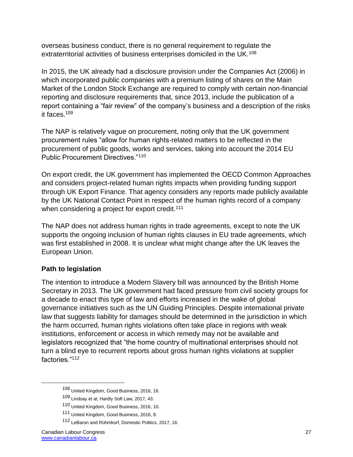overseas business conduct, there is no general requirement to regulate the extraterritorial activities of business enterprises domiciled in the UK.<sup>108</sup>

In 2015, the UK already had a disclosure provision under the Companies Act (2006) in which incorporated public companies with a premium listing of shares on the Main Market of the London Stock Exchange are required to comply with certain non-financial reporting and disclosure requirements that, since 2013, include the publication of a report containing a "fair review" of the company's business and a description of the risks it faces.<sup>109</sup>

The NAP is relatively vague on procurement, noting only that the UK government procurement rules "allow for human rights-related matters to be reflected in the procurement of public goods, works and services, taking into account the 2014 EU Public Procurement Directives."<sup>110</sup>

On export credit, the UK government has implemented the OECD Common Approaches and considers project-related human rights impacts when providing funding support through UK Export Finance. That agency considers any reports made publicly available by the UK National Contact Point in respect of the human rights record of a company when considering a project for export credit.<sup>111</sup>

The NAP does not address human rights in trade agreements, except to note the UK supports the ongoing inclusion of human rights clauses in EU trade agreements, which was first established in 2008. It is unclear what might change after the UK leaves the European Union.

# **Path to legislation**

The intention to introduce a Modern Slavery bill was announced by the British Home Secretary in 2013. The UK government had faced pressure from civil society groups for a decade to enact this type of law and efforts increased in the wake of global governance initiatives such as the UN Guiding Principles. Despite international private law that suggests liability for damages should be determined in the jurisdiction in which the harm occurred, human rights violations often take place in regions with weak institutions, enforcement or access in which remedy may not be available and legislators recognized that "the home country of multinational enterprises should not turn a blind eye to recurrent reports about gross human rights violations at supplier factories."<sup>112</sup>

<sup>108</sup> United Kingdom, Good Business, 2016, 16.

<sup>109</sup> Lindsay et al, Hardly Soft Law, 2017, 43.

<sup>110</sup> United Kingdom, Good Business, 2016, 10.

<sup>111</sup> United Kingdom, Good Business, 2016, 8.

<sup>112</sup> LeBaron and Rühmkorf, Domestic Politics, 2017, 16.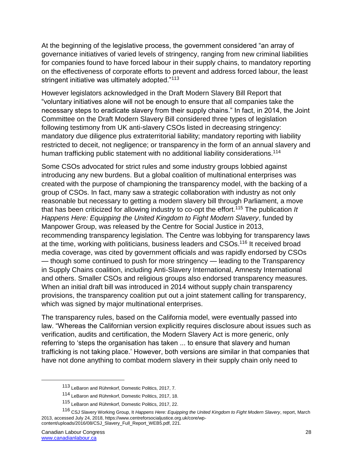At the beginning of the legislative process, the government considered "an array of governance initiatives of varied levels of stringency, ranging from new criminal liabilities for companies found to have forced labour in their supply chains, to mandatory reporting on the effectiveness of corporate efforts to prevent and address forced labour, the least stringent initiative was ultimately adopted."<sup>113</sup>

However legislators acknowledged in the Draft Modern Slavery Bill Report that "voluntary initiatives alone will not be enough to ensure that all companies take the necessary steps to eradicate slavery from their supply chains." In fact, in 2014, the Joint Committee on the Draft Modern Slavery Bill considered three types of legislation following testimony from UK anti-slavery CSOs listed in decreasing stringency: mandatory due diligence plus extraterritorial liability; mandatory reporting with liability restricted to deceit, not negligence; or transparency in the form of an annual slavery and human trafficking public statement with no additional liability considerations.<sup>114</sup>

Some CSOs advocated for strict rules and some industry groups lobbied against introducing any new burdens. But a global coalition of multinational enterprises was created with the purpose of championing the transparency model, with the backing of a group of CSOs. In fact, many saw a strategic collaboration with industry as not only reasonable but necessary to getting a modern slavery bill through Parliament, a move that has been criticized for allowing industry to co-opt the effort.<sup>115</sup> The publication *It Happens Here: Equipping the United Kingdom to Fight Modern Slavery*, funded by Manpower Group, was released by the Centre for Social Justice in 2013, recommending transparency legislation. The Centre was lobbying for transparency laws at the time, working with politicians, business leaders and CSOs.<sup>116</sup> It received broad media coverage, was cited by government officials and was rapidly endorsed by CSOs — though some continued to push for more stringency — leading to the Transparency in Supply Chains coalition, including Anti-Slavery International, Amnesty International and others. Smaller CSOs and religious groups also endorsed transparency measures. When an initial draft bill was introduced in 2014 without supply chain transparency provisions, the transparency coalition put out a joint statement calling for transparency, which was signed by major multinational enterprises.

The transparency rules, based on the California model, were eventually passed into law. "Whereas the Californian version explicitly requires disclosure about issues such as verification, audits and certification, the Modern Slavery Act is more generic, only referring to 'steps the organisation has taken ... to ensure that slavery and human trafficking is not taking place.' However, both versions are similar in that companies that have not done anything to combat modern slavery in their supply chain only need to

<sup>113</sup> LeBaron and Rühmkorf, Domestic Politics, 2017, 7.

<sup>114</sup> LeBaron and Rühmkorf, Domestic Politics, 2017, 18.

<sup>115</sup> LeBaron and Rühmkorf, Domestic Politics, 2017, 22.

<sup>116</sup> CSJ Slavery Working Group, It *Happens Here: Equipping the United Kingdom to Fight Modern Slavery*, report, March 2013, accessed July 24, 2018, https://www.centreforsocialjustice.org.uk/core/wpcontent/uploads/2016/08/CSJ\_Slavery\_Full\_Report\_WEB5.pdf, 221.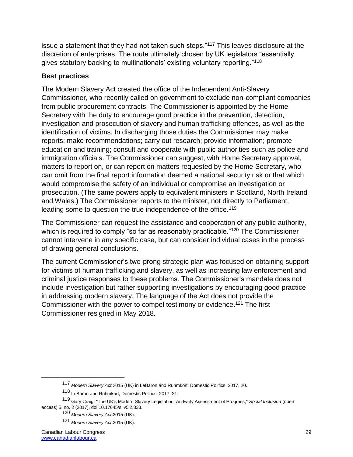issue a statement that they had not taken such steps."<sup>117</sup> This leaves disclosure at the discretion of enterprises. The route ultimately chosen by UK legislators "essentially gives statutory backing to multinationals' existing voluntary reporting."<sup>118</sup>

# **Best practices**

The Modern Slavery Act created the office of the Independent Anti-Slavery Commissioner, who recently called on government to exclude non-compliant companies from public procurement contracts. The Commissioner is appointed by the Home Secretary with the duty to encourage good practice in the prevention, detection, investigation and prosecution of slavery and human trafficking offences, as well as the identification of victims. In discharging those duties the Commissioner may make reports; make recommendations; carry out research; provide information; promote education and training; consult and cooperate with public authorities such as police and immigration officials. The Commissioner can suggest, with Home Secretary approval, matters to report on, or can report on matters requested by the Home Secretary, who can omit from the final report information deemed a national security risk or that which would compromise the safety of an individual or compromise an investigation or prosecution. (The same powers apply to equivalent ministers in Scotland, North Ireland and Wales.) The Commissioner reports to the minister, not directly to Parliament, leading some to question the true independence of the office.<sup>119</sup>

The Commissioner can request the assistance and cooperation of any public authority, which is required to comply "so far as reasonably practicable."<sup>120</sup> The Commissioner cannot intervene in any specific case, but can consider individual cases in the process of drawing general conclusions.

The current Commissioner's two-prong strategic plan was focused on obtaining support for victims of human trafficking and slavery, as well as increasing law enforcement and criminal justice responses to these problems. The Commissioner's mandate does not include investigation but rather supporting investigations by encouraging good practice in addressing modern slavery. The language of the Act does not provide the Commissioner with the power to compel testimony or evidence.<sup>121</sup> The first Commissioner resigned in May 2018.

<sup>117</sup> *Modern Slavery Act* 2015 (UK) in LeBaron and Rühmkorf, Domestic Politics, 2017, 20.

<sup>118</sup> LeBaron and Rühmkorf, Domestic Politics, 2017, 21.

<sup>119</sup> Gary Craig, "The UK's Modern Slavery Legislation: An Early Assessment of Progress," *Social Inclusion* (open access) 5, no. 2 (2017), doi:10.17645/si.v5i2.833.

<sup>120</sup> *Modern Slavery Act* 2015 (UK).

<sup>121</sup> *Modern Slavery Act* 2015 (UK).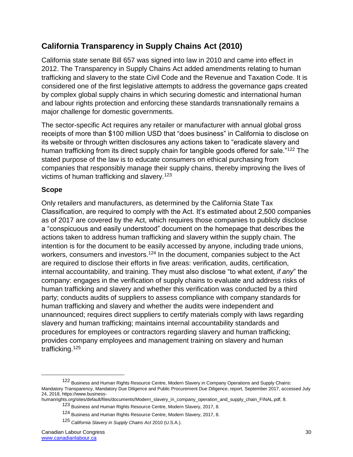# **California Transparency in Supply Chains Act (2010)**

California state senate Bill 657 was signed into law in 2010 and came into effect in 2012. The Transparency in Supply Chains Act added amendments relating to human trafficking and slavery to the state Civil Code and the Revenue and Taxation Code. It is considered one of the first legislative attempts to address the governance gaps created by complex global supply chains in which securing domestic and international human and labour rights protection and enforcing these standards transnationally remains a major challenge for domestic governments.

The sector-specific Act requires any retailer or manufacturer with annual global gross receipts of more than \$100 million USD that "does business" in California to disclose on its website or through written disclosures any actions taken to "eradicate slavery and human trafficking from its direct supply chain for tangible goods offered for sale."<sup>122</sup> The stated purpose of the law is to educate consumers on ethical purchasing from companies that responsibly manage their supply chains, thereby improving the lives of victims of human trafficking and slavery.<sup>123</sup>

### **Scope**

Only retailers and manufacturers, as determined by the California State Tax Classification, are required to comply with the Act. It's estimated about 2,500 companies as of 2017 are covered by the Act, which requires those companies to publicly disclose a "conspicuous and easily understood" document on the homepage that describes the actions taken to address human trafficking and slavery within the supply chain. The intention is for the document to be easily accessed by anyone, including trade unions, workers, consumers and investors.<sup>124</sup> In the document, companies subject to the Act are required to disclose their efforts in five areas: verification, audits, certification, internal accountability, and training. They must also disclose "to what extent, *if any*" the company: engages in the verification of supply chains to evaluate and address risks of human trafficking and slavery and whether this verification was conducted by a third party; conducts audits of suppliers to assess compliance with company standards for human trafficking and slavery and whether the audits were independent and unannounced; requires direct suppliers to certify materials comply with laws regarding slavery and human trafficking; maintains internal accountability standards and procedures for employees or contractors regarding slavery and human trafficking; provides company employees and management training on slavery and human trafficking.<sup>125</sup>

<sup>122</sup> Business and Human Rights Resource Centre, Modern Slavery in Company Operations and Supply Chains: Mandatory Transparency, Mandatory Due Diligence and Public Procurement Due Diligence, report, September 2017, accessed July 24, 2018, https://www.business-

humanrights.org/sites/default/files/documents/Modern\_slavery\_in\_company\_operation\_and\_supply\_chain\_FINAL.pdf, 8.

<sup>123</sup> Business and Human Rights Resource Centre, Modern Slavery, 2017, 8.

<sup>124</sup> Business and Human Rights Resource Centre, Modern Slavery, 2017, 8.

<sup>125</sup> *California Slavery in Supply Chains Act* 2010 (U.S.A.).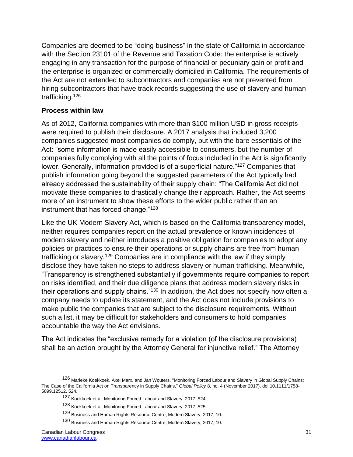Companies are deemed to be "doing business" in the state of California in accordance with the Section 23101 of the Revenue and Taxation Code: the enterprise is actively engaging in any transaction for the purpose of financial or pecuniary gain or profit and the enterprise is organized or commercially domiciled in California. The requirements of the Act are not extended to subcontractors and companies are not prevented from hiring subcontractors that have track records suggesting the use of slavery and human trafficking.<sup>126</sup>

### **Process within law**

As of 2012, California companies with more than \$100 million USD in gross receipts were required to publish their disclosure. A 2017 analysis that included 3,200 companies suggested most companies do comply, but with the bare essentials of the Act: "some information is made easily accessible to consumers, but the number of companies fully complying with all the points of focus included in the Act is significantly lower. Generally, information provided is of a superficial nature."<sup>127</sup> Companies that publish information going beyond the suggested parameters of the Act typically had already addressed the sustainability of their supply chain: "The California Act did not motivate these companies to drastically change their approach. Rather, the Act seems more of an instrument to show these efforts to the wider public rather than an instrument that has forced change."<sup>128</sup>

Like the UK Modern Slavery Act, which is based on the California transparency model, neither requires companies report on the actual prevalence or known incidences of modern slavery and neither introduces a positive obligation for companies to adopt any policies or practices to ensure their operations or supply chains are free from human trafficking or slavery.<sup>129</sup> Companies are in compliance with the law if they simply disclose they have taken no steps to address slavery or human trafficking. Meanwhile, "Transparency is strengthened substantially if governments require companies to report on risks identified, and their due diligence plans that address modern slavery risks in their operations and supply chains."<sup>130</sup> In addition, the Act does not specify how often a company needs to update its statement, and the Act does not include provisions to make public the companies that are subject to the disclosure requirements. Without such a list, it may be difficult for stakeholders and consumers to hold companies accountable the way the Act envisions.

The Act indicates the "exclusive remedy for a violation (of the disclosure provisions) shall be an action brought by the Attorney General for injunctive relief." The Attorney

<sup>126</sup> Marieke Koekkoek, Axel Marx, and Jan Wouters, "Monitoring Forced Labour and Slavery in Global Supply Chains: The Case of the California Act on Transparency in Supply Chains," *Global Policy* 8, no. 4 (November 2017), doi:10.1111/1758- 5899.12512, 524.

<sup>127</sup> Koekkoek et al, Monitoring Forced Labour and Slavery, 2017, 524.

<sup>128</sup> Koekkoek et al, Monitoring Forced Labour and Slavery, 2017, 525.

<sup>129</sup> Business and Human Rights Resource Centre, Modern Slavery, 2017, 10.

<sup>130</sup> Business and Human Rights Resource Centre, Modern Slavery, 2017, 10.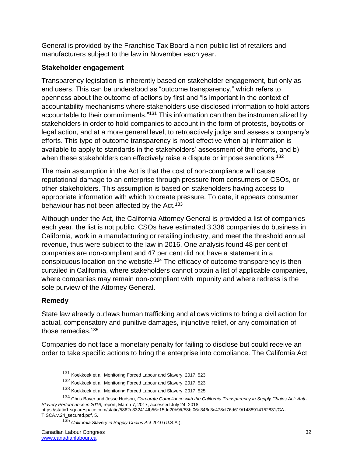General is provided by the Franchise Tax Board a non-public list of retailers and manufacturers subject to the law in November each year.

### **Stakeholder engagement**

Transparency legislation is inherently based on stakeholder engagement, but only as end users. This can be understood as "outcome transparency," which refers to openness about the outcome of actions by first and "is important in the context of accountability mechanisms where stakeholders use disclosed information to hold actors accountable to their commitments."<sup>131</sup> This information can then be instrumentalized by stakeholders in order to hold companies to account in the form of protests, boycotts or legal action, and at a more general level, to retroactively judge and assess a company's efforts. This type of outcome transparency is most effective when a) information is available to apply to standards in the stakeholders' assessment of the efforts, and b) when these stakeholders can effectively raise a dispute or impose sanctions.<sup>132</sup>

The main assumption in the Act is that the cost of non-compliance will cause reputational damage to an enterprise through pressure from consumers or CSOs, or other stakeholders. This assumption is based on stakeholders having access to appropriate information with which to create pressure. To date, it appears consumer behaviour has not been affected by the Act.<sup>133</sup>

Although under the Act, the California Attorney General is provided a list of companies each year, the list is not public. CSOs have estimated 3,336 companies do business in California, work in a manufacturing or retailing industry, and meet the threshold annual revenue, thus were subject to the law in 2016. One analysis found 48 per cent of companies are non-compliant and 47 per cent did not have a statement in a conspicuous location on the website.<sup>134</sup> The efficacy of outcome transparency is then curtailed in California, where stakeholders cannot obtain a list of applicable companies, where companies may remain non-compliant with impunity and where redress is the sole purview of the Attorney General.

# **Remedy**

 $\overline{a}$ 

State law already outlaws human trafficking and allows victims to bring a civil action for actual, compensatory and punitive damages, injunctive relief, or any combination of those remedies.<sup>135</sup>

Companies do not face a monetary penalty for failing to disclose but could receive an order to take specific actions to bring the enterprise into compliance. The California Act

<sup>131</sup> Koekkoek et al, Monitoring Forced Labour and Slavery, 2017, 523.

<sup>132</sup> Koekkoek et al, Monitoring Forced Labour and Slavery, 2017, 523.

<sup>133</sup> Koekkoek et al, Monitoring Forced Labour and Slavery, 2017, 525.

<sup>134</sup> Chris Bayer and Jesse Hudson, *Corporate Compliance with the California Transparency in Supply Chains Act: Anti-Slavery Performance in 2016*, report, March 7, 2017, accessed July 24, 2018,

https://static1.squarespace.com/static/5862e332414fb56e15dd20b9/t/58bf06e346c3c478cf76d619/1488914152831/CA-TISCA.v.24\_secured.pdf, 5.

<sup>135</sup> *California Slavery in Supply Chains Act* 2010 (U.S.A.).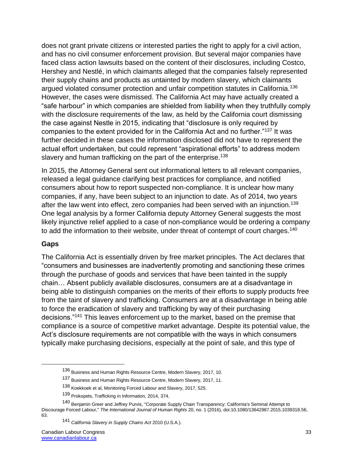does not grant private citizens or interested parties the right to apply for a civil action, and has no civil consumer enforcement provision. But several major companies have faced class action lawsuits based on the content of their disclosures, including Costco, Hershey and Nestlé, in which claimants alleged that the companies falsely represented their supply chains and products as untainted by modern slavery, which claimants argued violated consumer protection and unfair competition statutes in California.<sup>136</sup> However, the cases were dismissed. The California Act may have actually created a "safe harbour" in which companies are shielded from liability when they truthfully comply with the disclosure requirements of the law, as held by the California court dismissing the case against Nestle in 2015, indicating that "disclosure is only required by companies to the extent provided for in the California Act and no further."<sup>137</sup> It was further decided in these cases the information disclosed did not have to represent the actual effort undertaken, but could represent "aspirational efforts" to address modern slavery and human trafficking on the part of the enterprise.<sup>138</sup>

In 2015, the Attorney General sent out informational letters to all relevant companies, released a legal guidance clarifying best practices for compliance, and notified consumers about how to report suspected non-compliance. It is unclear how many companies, if any, have been subject to an injunction to date. As of 2014, two years after the law went into effect, zero companies had been served with an injunction.<sup>139</sup> One legal analysis by a former California deputy Attorney General suggests the most likely injunctive relief applied to a case of non-compliance would be ordering a company to add the information to their website, under threat of contempt of court charges.<sup>140</sup>

### **Gaps**

 $\overline{a}$ 

The California Act is essentially driven by free market principles. The Act declares that "consumers and businesses are inadvertently promoting and sanctioning these crimes through the purchase of goods and services that have been tainted in the supply chain… Absent publicly available disclosures, consumers are at a disadvantage in being able to distinguish companies on the merits of their efforts to supply products free from the taint of slavery and trafficking. Consumers are at a disadvantage in being able to force the eradication of slavery and trafficking by way of their purchasing decisions."<sup>141</sup> This leaves enforcement up to the market, based on the premise that compliance is a source of competitive market advantage. Despite its potential value, the Act's disclosure requirements are not compatible with the ways in which consumers typically make purchasing decisions, especially at the point of sale, and this type of

<sup>136</sup> Business and Human Rights Resource Centre, Modern Slavery, 2017, 10.

<sup>137</sup> Business and Human Rights Resource Centre, Modern Slavery, 2017, 11.

<sup>138</sup> Koekkoek et al, Monitoring Forced Labour and Slavery, 2017, 525.

<sup>139</sup> Prokopets, Trafficking in Information, 2014, 374.

<sup>140</sup> Benjamin Greer and Jeffrey Purvis, "Corporate Supply Chain Transparency: California's Seminal Attempt to Discourage Forced Labour," *The International Journal of Human Rights* 20, no. 1 (2016), doi:10.1080/13642987.2015.1039318.56, 63.

<sup>141</sup> *California Slavery in Supply Chains Act* 2010 (U.S.A.).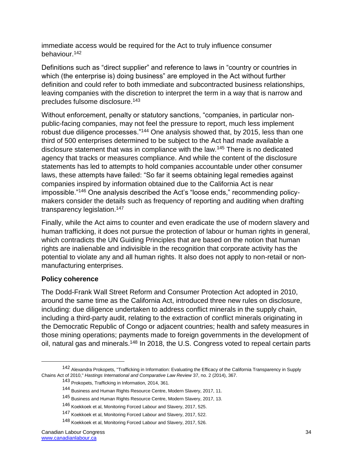immediate access would be required for the Act to truly influence consumer behaviour.<sup>142</sup>

Definitions such as "direct supplier" and reference to laws in "country or countries in which (the enterprise is) doing business" are employed in the Act without further definition and could refer to both immediate and subcontracted business relationships, leaving companies with the discretion to interpret the term in a way that is narrow and precludes fulsome disclosure.<sup>143</sup>

Without enforcement, penalty or statutory sanctions, "companies, in particular nonpublic-facing companies, may not feel the pressure to report, much less implement robust due diligence processes."<sup>144</sup> One analysis showed that, by 2015, less than one third of 500 enterprises determined to be subject to the Act had made available a disclosure statement that was in compliance with the law.<sup>145</sup> There is no dedicated agency that tracks or measures compliance. And while the content of the disclosure statements has led to attempts to hold companies accountable under other consumer laws, these attempts have failed: "So far it seems obtaining legal remedies against companies inspired by information obtained due to the California Act is near impossible."<sup>146</sup> One analysis described the Act's "loose ends," recommending policymakers consider the details such as frequency of reporting and auditing when drafting transparency legislation.<sup>147</sup>

Finally, while the Act aims to counter and even eradicate the use of modern slavery and human trafficking, it does not pursue the protection of labour or human rights in general, which contradicts the UN Guiding Principles that are based on the notion that human rights are inalienable and indivisible in the recognition that corporate activity has the potential to violate any and all human rights. It also does not apply to non-retail or nonmanufacturing enterprises.

#### **Policy coherence**

 $\overline{a}$ 

The Dodd-Frank Wall Street Reform and Consumer Protection Act adopted in 2010, around the same time as the California Act, introduced three new rules on disclosure, including: due diligence undertaken to address conflict minerals in the supply chain, including a third-party audit, relating to the extraction of conflict minerals originating in the Democratic Republic of Congo or adjacent countries; health and safety measures in those mining operations; payments made to foreign governments in the development of oil, natural gas and minerals.<sup>148</sup> In 2018, the U.S. Congress voted to repeal certain parts

<sup>142</sup> Alexandra Prokopets, "Trafficking in Information: Evaluating the Efficacy of the California Transparency in Supply Chains Act of 2010," *Hastings International and Comparative Law Review* 37, no. 2 (2014), 367.

<sup>143</sup> Prokopets, Trafficking in Information, 2014, 361.

<sup>144</sup> Business and Human Rights Resource Centre, Modern Slavery, 2017, 11.

<sup>145</sup> Business and Human Rights Resource Centre, Modern Slavery, 2017, 13.

<sup>146</sup> Koekkoek et al, Monitoring Forced Labour and Slavery, 2017, 525.

<sup>147</sup> Koekkoek et al, Monitoring Forced Labour and Slavery, 2017, 522.

<sup>148</sup> Koekkoek et al, Monitoring Forced Labour and Slavery, 2017, 526.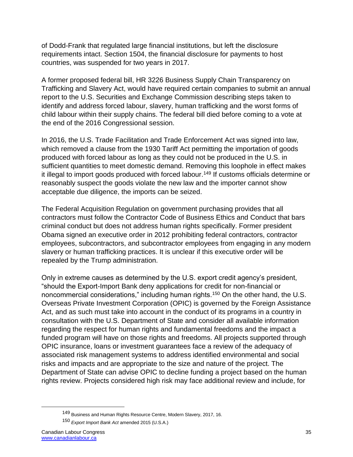of Dodd-Frank that regulated large financial institutions, but left the disclosure requirements intact. Section 1504, the financial disclosure for payments to host countries, was suspended for two years in 2017.

A former proposed federal bill, HR 3226 Business Supply Chain Transparency on Trafficking and Slavery Act, would have required certain companies to submit an annual report to the U.S. Securities and Exchange Commission describing steps taken to identify and address forced labour, slavery, human trafficking and the worst forms of child labour within their supply chains. The federal bill died before coming to a vote at the end of the 2016 Congressional session.

In 2016, the U.S. Trade Facilitation and Trade Enforcement Act was signed into law, which removed a clause from the 1930 Tariff Act permitting the importation of goods produced with forced labour as long as they could not be produced in the U.S. in sufficient quantities to meet domestic demand. Removing this loophole in effect makes it illegal to import goods produced with forced labour.<sup>149</sup> If customs officials determine or reasonably suspect the goods violate the new law and the importer cannot show acceptable due diligence, the imports can be seized.

The Federal Acquisition Regulation on government purchasing provides that all contractors must follow the Contractor Code of Business Ethics and Conduct that bars criminal conduct but does not address human rights specifically. Former president Obama signed an executive order in 2012 prohibiting federal contractors, contractor employees, subcontractors, and subcontractor employees from engaging in any modern slavery or human trafficking practices. It is unclear if this executive order will be repealed by the Trump administration.

Only in extreme causes as determined by the U.S. export credit agency's president, "should the Export-Import Bank deny applications for credit for non-financial or noncommercial considerations," including human rights.<sup>150</sup> On the other hand, the U.S. Overseas Private Investment Corporation (OPIC) is governed by the Foreign Assistance Act, and as such must take into account in the conduct of its programs in a country in consultation with the U.S. Department of State and consider all available information regarding the respect for human rights and fundamental freedoms and the impact a funded program will have on those rights and freedoms. All projects supported through OPIC insurance, loans or investment guarantees face a review of the adequacy of associated risk management systems to address identified environmental and social risks and impacts and are appropriate to the size and nature of the project. The Department of State can advise OPIC to decline funding a project based on the human rights review. Projects considered high risk may face additional review and include, for

<sup>149</sup> Business and Human Rights Resource Centre, Modern Slavery, 2017, 16.

<sup>150</sup> *Export Import Bank Act* amended 2015 (U.S.A.)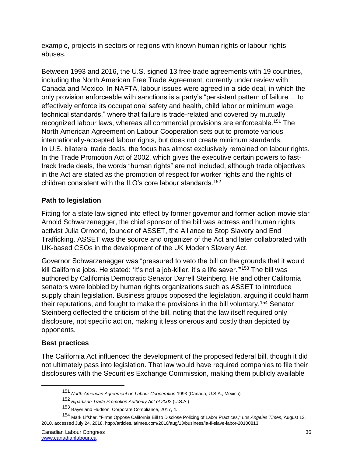example, projects in sectors or regions with known human rights or labour rights abuses.

Between 1993 and 2016, the U.S. signed 13 free trade agreements with 19 countries, including the North American Free Trade Agreement, currently under review with Canada and Mexico. In NAFTA, labour issues were agreed in a side deal, in which the only provision enforceable with sanctions is a party's "persistent pattern of failure ... to effectively enforce its occupational safety and health, child labor or minimum wage technical standards," where that failure is trade-related and covered by mutually recognized labour laws, whereas all commercial provisions are enforceable.<sup>151</sup> The North American Agreement on Labour Cooperation sets out to promote various internationally-accepted labour rights, but does not create minimum standards. In U.S. bilateral trade deals, the focus has almost exclusively remained on labour rights. In the Trade Promotion Act of 2002, which gives the executive certain powers to fasttrack trade deals, the words "human rights" are not included, although trade objectives in the Act are stated as the promotion of respect for worker rights and the rights of children consistent with the ILO's core labour standards.<sup>152</sup>

# **Path to legislation**

Fitting for a state law signed into effect by former governor and former action movie star Arnold Schwarzenegger, the chief sponsor of the bill was actress and human rights activist Julia Ormond, founder of ASSET, the Alliance to Stop Slavery and End Trafficking. ASSET was the source and organizer of the Act and later collaborated with UK-based CSOs in the development of the UK Modern Slavery Act.

Governor Schwarzenegger was "pressured to veto the bill on the grounds that it would kill California jobs. He stated: 'It's not a job-killer, it's a life saver."<sup>153</sup> The bill was authored by California Democratic Senator Darrell Steinberg. He and other California senators were lobbied by human rights organizations such as ASSET to introduce supply chain legislation. Business groups opposed the legislation, arguing it could harm their reputations, and fought to make the provisions in the bill voluntary.<sup>154</sup> Senator Steinberg deflected the criticism of the bill, noting that the law itself required only disclosure, not specific action, making it less onerous and costly than depicted by opponents.

### **Best practices**

 $\overline{a}$ 

The California Act influenced the development of the proposed federal bill, though it did not ultimately pass into legislation. That law would have required companies to file their disclosures with the Securities Exchange Commission, making them publicly available

<sup>151</sup> *North American Agreement on Labour Cooperation* 1993 (Canada, U.S.A., Mexico)

<sup>152</sup> *Bipartisan Trade Promotion Authority Act of 2002* (U.S.A.)

<sup>153</sup> Bayer and Hudson, Corporate Compliance, 2017, 4.

<sup>154</sup> Mark Lifsher, "Firms Oppose California Bill to Disclose Policing of Labor Practices," *Los Angeles Times*, August 13, 2010, accessed July 24, 2018, http://articles.latimes.com/2010/aug/13/business/la-fi-slave-labor-20100813.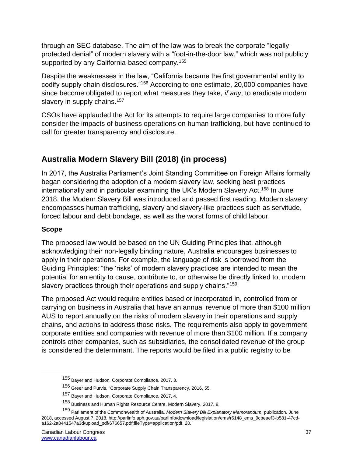through an SEC database. The aim of the law was to break the corporate "legallyprotected denial" of modern slavery with a "foot-in-the-door law," which was not publicly supported by any California-based company.<sup>155</sup>

Despite the weaknesses in the law, "California became the first governmental entity to codify supply chain disclosures."<sup>156</sup> According to one estimate, 20,000 companies have since become obligated to report what measures they take, *if any*, to eradicate modern slavery in supply chains.<sup>157</sup>

CSOs have applauded the Act for its attempts to require large companies to more fully consider the impacts of business operations on human trafficking, but have continued to call for greater transparency and disclosure.

# **Australia Modern Slavery Bill (2018) (in process)**

In 2017, the Australia Parliament's Joint Standing Committee on Foreign Affairs formally began considering the adoption of a modern slavery law, seeking best practices internationally and in particular examining the UK's Modern Slavery Act.<sup>158</sup> In June 2018, the Modern Slavery Bill was introduced and passed first reading. Modern slavery encompasses human trafficking, slavery and slavery-like practices such as servitude, forced labour and debt bondage, as well as the worst forms of child labour.

### **Scope**

 $\overline{a}$ 

The proposed law would be based on the UN Guiding Principles that, although acknowledging their non-legally binding nature, Australia encourages businesses to apply in their operations. For example, the language of risk is borrowed from the Guiding Principles: "the 'risks' of modern slavery practices are intended to mean the potential for an entity to cause, contribute to, or otherwise be directly linked to, modern slavery practices through their operations and supply chains."<sup>159</sup>

The proposed Act would require entities based or incorporated in, controlled from or carrying on business in Australia that have an annual revenue of more than \$100 million AUS to report annually on the risks of modern slavery in their operations and supply chains, and actions to address those risks. The requirements also apply to government corporate entities and companies with revenue of more than \$100 million. If a company controls other companies, such as subsidiaries, the consolidated revenue of the group is considered the determinant. The reports would be filed in a public registry to be

<sup>155</sup> Bayer and Hudson, Corporate Compliance, 2017, 3.

<sup>156</sup> Greer and Purvis, "Corporate Supply Chain Transparency, 2016, 55.

<sup>157</sup> Bayer and Hudson, Corporate Compliance, 2017, 4.

<sup>158</sup> Business and Human Rights Resource Centre, Modern Slavery, 2017, 8.

<sup>159</sup> Parliament of the Commonwealth of Australia, *Modern Slavery Bill Explanatory Memorandum*, publication, June 2018, accessed August 7, 2018, http://parlinfo.aph.gov.au/parlInfo/download/legislation/ems/r6148\_ems\_9cbeaef3-b581-47cda162-2a8441547a3d/upload\_pdf/676657.pdf;fileType=application/pdf, 20.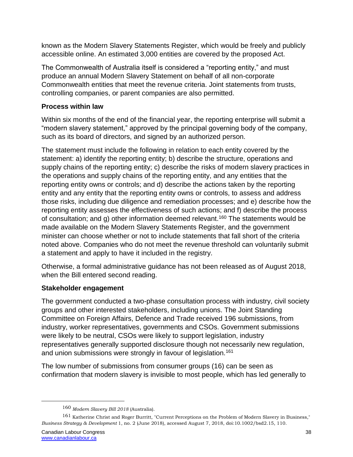known as the Modern Slavery Statements Register, which would be freely and publicly accessible online. An estimated 3,000 entities are covered by the proposed Act.

The Commonwealth of Australia itself is considered a "reporting entity," and must produce an annual Modern Slavery Statement on behalf of all non-corporate Commonwealth entities that meet the revenue criteria. Joint statements from trusts, controlling companies, or parent companies are also permitted.

# **Process within law**

Within six months of the end of the financial year, the reporting enterprise will submit a "modern slavery statement," approved by the principal governing body of the company, such as its board of directors, and signed by an authorized person.

The statement must include the following in relation to each entity covered by the statement: a) identify the reporting entity; b) describe the structure, operations and supply chains of the reporting entity; c) describe the risks of modern slavery practices in the operations and supply chains of the reporting entity, and any entities that the reporting entity owns or controls; and d) describe the actions taken by the reporting entity and any entity that the reporting entity owns or controls, to assess and address those risks, including due diligence and remediation processes; and e) describe how the reporting entity assesses the effectiveness of such actions; and f) describe the process of consultation; and g) other information deemed relevant.<sup>160</sup> The statements would be made available on the Modern Slavery Statements Register, and the government minister can choose whether or not to include statements that fall short of the criteria noted above. Companies who do not meet the revenue threshold can voluntarily submit a statement and apply to have it included in the registry.

Otherwise, a formal administrative guidance has not been released as of August 2018, when the Bill entered second reading.

# **Stakeholder engagement**

The government conducted a two-phase consultation process with industry, civil society groups and other interested stakeholders, including unions. The Joint Standing Committee on Foreign Affairs, Defence and Trade received 196 submissions, from industry, worker representatives, governments and CSOs. Government submissions were likely to be neutral, CSOs were likely to support legislation, industry representatives generally supported disclosure though not necessarily new regulation, and union submissions were strongly in favour of legislation.<sup>161</sup>

The low number of submissions from consumer groups (16) can be seen as confirmation that modern slavery is invisible to most people, which has led generally to

<sup>160</sup> *Modern Slavery Bill 2018* (Australia).

<sup>161</sup> Katherine Christ and Roger Burritt, "Current Perceptions on the Problem of Modern Slavery in Business," *Business Strategy & Development* 1, no. 2 (June 2018), accessed August 7, 2018, doi:10.1002/bsd2.15, 110.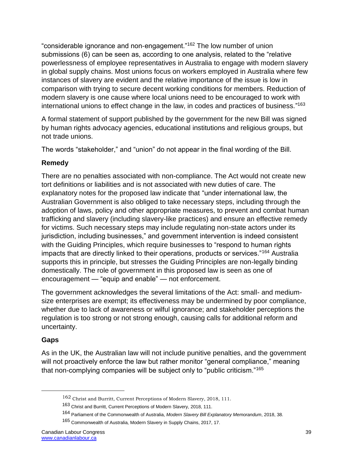"considerable ignorance and non‐engagement."<sup>162</sup> The low number of union submissions (6) can be seen as, according to one analysis, related to the "relative powerlessness of employee representatives in Australia to engage with modern slavery in global supply chains. Most unions focus on workers employed in Australia where few instances of slavery are evident and the relative importance of the issue is low in comparison with trying to secure decent working conditions for members. Reduction of modern slavery is one cause where local unions need to be encouraged to work with international unions to effect change in the law, in codes and practices of business."<sup>163</sup>

A formal statement of support published by the government for the new Bill was signed by human rights advocacy agencies, educational institutions and religious groups, but not trade unions.

The words "stakeholder," and "union" do not appear in the final wording of the Bill.

# **Remedy**

There are no penalties associated with non-compliance. The Act would not create new tort definitions or liabilities and is not associated with new duties of care. The explanatory notes for the proposed law indicate that "under international law, the Australian Government is also obliged to take necessary steps, including through the adoption of laws, policy and other appropriate measures, to prevent and combat human trafficking and slavery (including slavery-like practices) and ensure an effective remedy for victims. Such necessary steps may include regulating non-state actors under its jurisdiction, including businesses," and government intervention is indeed consistent with the Guiding Principles, which require businesses to "respond to human rights impacts that are directly linked to their operations, products or services."<sup>164</sup> Australia supports this in principle, but stresses the Guiding Principles are non-legally binding domestically. The role of government in this proposed law is seen as one of encouragement — "equip and enable" — not enforcement.

The government acknowledges the several limitations of the Act: small- and mediumsize enterprises are exempt; its effectiveness may be undermined by poor compliance, whether due to lack of awareness or wilful ignorance; and stakeholder perceptions the regulation is too strong or not strong enough, causing calls for additional reform and uncertainty.

# **Gaps**

 $\overline{a}$ 

As in the UK, the Australian law will not include punitive penalties, and the government will not proactively enforce the law but rather monitor "general compliance," meaning that non-complying companies will be subject only to "public criticism."<sup>165</sup>

<sup>162</sup> Christ and Burritt, Current Perceptions of Modern Slavery, 2018, 111.

<sup>163</sup> Christ and Burritt, Current Perceptions of Modern Slavery, 2018, 111.

<sup>164</sup> Parliament of the Commonwealth of Australia, *Modern Slavery Bill Explanatory Memorandum*, 2018, 38.

<sup>165</sup> Commonwealth of Australia, Modern Slavery in Supply Chains, 2017, 17.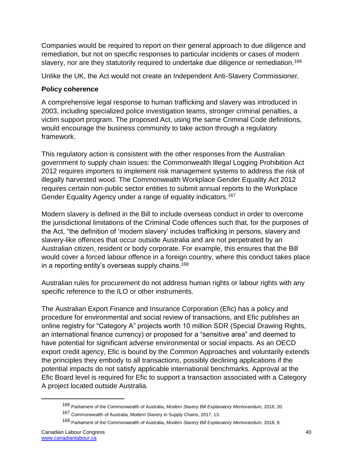Companies would be required to report on their general approach to due diligence and remediation, but not on specific responses to particular incidents or cases of modern slavery, nor are they statutorily required to undertake due diligence or remediation.<sup>166</sup>

Unlike the UK, the Act would not create an Independent Anti-Slavery Commissioner.

# **Policy coherence**

A comprehensive legal response to human trafficking and slavery was introduced in 2003, including specialized police investigation teams, stronger criminal penalties, a victim support program. The proposed Act, using the same Criminal Code definitions, would encourage the business community to take action through a regulatory framework.

This regulatory action is consistent with the other responses from the Australian government to supply chain issues: the Commonwealth Illegal Logging Prohibition Act 2012 requires importers to implement risk management systems to address the risk of illegally harvested wood. The Commonwealth Workplace Gender Equality Act 2012 requires certain non-public sector entities to submit annual reports to the Workplace Gender Equality Agency under a range of equality indicators.<sup>167</sup>

Modern slavery is defined in the Bill to include overseas conduct in order to overcome the jurisdictional limitations of the Criminal Code offences such that, for the purposes of the Act, "the definition of 'modern slavery' includes trafficking in persons, slavery and slavery-like offences that occur outside Australia and are not perpetrated by an Australian citizen, resident or body corporate. For example, this ensures that the Bill would cover a forced labour offence in a foreign country, where this conduct takes place in a reporting entity's overseas supply chains.<sup>168</sup>

Australian rules for procurement do not address human rights or labour rights with any specific reference to the ILO or other instruments.

The Australian Export Finance and Insurance Corporation (Efic) has a policy and procedure for environmental and social review of transactions, and Efic publishes an online registry for "Category A" projects worth 10 million SDR (Special Drawing Rights, an international finance currency) or proposed for a "sensitive area" and deemed to have potential for significant adverse environmental or social impacts. As an OECD export credit agency, Efic is bound by the Common Approaches and voluntarily extends the principles they embody to all transactions, possibly declining applications if the potential impacts do not satisfy applicable international benchmarks. Approval at the Efic Board level is required for Efic to support a transaction associated with a Category A project located outside Australia.

<sup>166</sup> Parliament of the Commonwealth of Australia, *Modern Slavery Bill Explanatory Memorandum*, 2018, 20.

<sup>167</sup> Commonwealth of Australia, Modern Slavery in Supply Chains, 2017, 13.

<sup>168</sup> Parliament of the Commonwealth of Australia, *Modern Slavery Bill Explanatory Memorandum*, 2018, 8.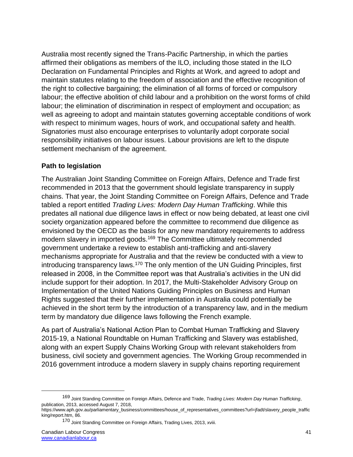Australia most recently signed the Trans-Pacific Partnership, in which the parties affirmed their obligations as members of the ILO, including those stated in the ILO Declaration on Fundamental Principles and Rights at Work, and agreed to adopt and maintain statutes relating to the freedom of association and the effective recognition of the right to collective bargaining; the elimination of all forms of forced or compulsory labour; the effective abolition of child labour and a prohibition on the worst forms of child labour; the elimination of discrimination in respect of employment and occupation; as well as agreeing to adopt and maintain statutes governing acceptable conditions of work with respect to minimum wages, hours of work, and occupational safety and health. Signatories must also encourage enterprises to voluntarily adopt corporate social responsibility initiatives on labour issues. Labour provisions are left to the dispute settlement mechanism of the agreement.

### **Path to legislation**

The Australian Joint Standing Committee on Foreign Affairs, Defence and Trade first recommended in 2013 that the government should legislate transparency in supply chains. That year, the Joint Standing Committee on Foreign Affairs, Defence and Trade tabled a report entitled *Trading Lives: Modern Day Human Trafficking*. While this predates all national due diligence laws in effect or now being debated, at least one civil society organization appeared before the committee to recommend due diligence as envisioned by the OECD as the basis for any new mandatory requirements to address modern slavery in imported goods.<sup>169</sup> The Committee ultimately recommended government undertake a review to establish anti-trafficking and anti-slavery mechanisms appropriate for Australia and that the review be conducted with a view to introducing transparency laws.<sup>170</sup> The only mention of the UN Guiding Principles, first released in 2008, in the Committee report was that Australia's activities in the UN did include support for their adoption. In 2017, the Multi-Stakeholder Advisory Group on Implementation of the United Nations Guiding Principles on Business and Human Rights suggested that their further implementation in Australia could potentially be achieved in the short term by the introduction of a transparency law, and in the medium term by mandatory due diligence laws following the French example.

As part of Australia's National Action Plan to Combat Human Trafficking and Slavery 2015-19, a National Roundtable on Human Trafficking and Slavery was established, along with an expert Supply Chains Working Group with relevant stakeholders from business, civil society and government agencies. The Working Group recommended in 2016 government introduce a modern slavery in supply chains reporting requirement

<sup>169</sup> Joint Standing Committee on Foreign Affairs, Defence and Trade, *Trading Lives: Modern Day Human Trafficking*, publication, 2013, accessed August 7, 2018,

https://www.aph.gov.au/parliamentary\_business/committees/house\_of\_representatives\_committees?url=jfadt/slavery\_people\_traffic king/report.htm, 86.

<sup>170</sup> Joint Standing Committee on Foreign Affairs, Trading Lives, 2013, xviii.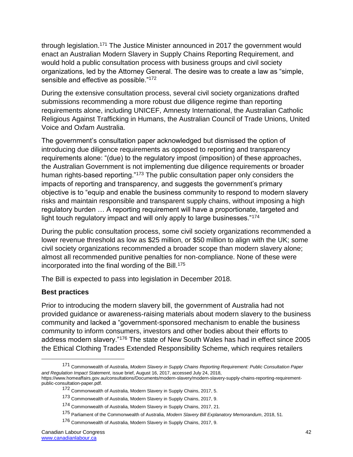through legislation.<sup>171</sup> The Justice Minister announced in 2017 the government would enact an Australian Modern Slavery in Supply Chains Reporting Requirement, and would hold a public consultation process with business groups and civil society organizations, led by the Attorney General. The desire was to create a law as "simple, sensible and effective as possible."<sup>172</sup>

During the extensive consultation process, several civil society organizations drafted submissions recommending a more robust due diligence regime than reporting requirements alone, including UNICEF, Amnesty International, the Australian Catholic Religious Against Trafficking in Humans, the Australian Council of Trade Unions, United Voice and Oxfam Australia.

The government's consultation paper acknowledged but dismissed the option of introducing due diligence requirements as opposed to reporting and transparency requirements alone: "(due) to the regulatory impost (imposition) of these approaches, the Australian Government is not implementing due diligence requirements or broader human rights-based reporting."<sup>173</sup> The public consultation paper only considers the impacts of reporting and transparency, and suggests the government's primary objective is to "equip and enable the business community to respond to modern slavery risks and maintain responsible and transparent supply chains, without imposing a high regulatory burden … A reporting requirement will have a proportionate, targeted and light touch regulatory impact and will only apply to large businesses."<sup>174</sup>

During the public consultation process, some civil society organizations recommended a lower revenue threshold as low as \$25 million, or \$50 million to align with the UK; some civil society organizations recommended a broader scope than modern slavery alone; almost all recommended punitive penalties for non-compliance. None of these were incorporated into the final wording of the Bill. $175$ 

The Bill is expected to pass into legislation in December 2018.

### **Best practices**

 $\overline{a}$ 

Prior to introducing the modern slavery bill, the government of Australia had not provided guidance or awareness-raising materials about modern slavery to the business community and lacked a "government-sponsored mechanism to enable the business community to inform consumers, investors and other bodies about their efforts to address modern slavery."<sup>176</sup> The state of New South Wales has had in effect since 2005 the Ethical Clothing Trades Extended Responsibility Scheme, which requires retailers

<sup>171</sup> Commonwealth of Australia, *Modern Slavery in Supply Chains Reporting Requirement: Public Consultation Paper and Regulation Impact Statement*, issue brief, August 16, 2017, accessed July 24, 2018, https://www.homeaffairs.gov.au/consultations/Documents/modern-slavery/modern-slavery-supply-chains-reporting-requirementpublic-consultation-paper.pdf.

<sup>172</sup> Commonwealth of Australia, Modern Slavery in Supply Chains, 2017, 5.

<sup>173</sup> Commonwealth of Australia, Modern Slavery in Supply Chains, 2017, 9.

<sup>174</sup> Commonwealth of Australia, Modern Slavery in Supply Chains, 2017, 21.

<sup>175</sup> Parliament of the Commonwealth of Australia, *Modern Slavery Bill Explanatory Memorandum*, 2018, 51.

<sup>176</sup> Commonwealth of Australia, Modern Slavery in Supply Chains, 2017, 9.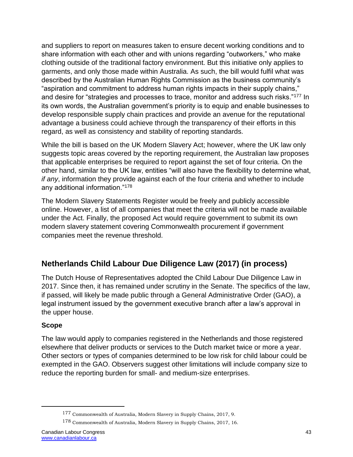and suppliers to report on measures taken to ensure decent working conditions and to share information with each other and with unions regarding "outworkers," who make clothing outside of the traditional factory environment. But this initiative only applies to garments, and only those made within Australia. As such, the bill would fulfil what was described by the Australian Human Rights Commission as the business community's "aspiration and commitment to address human rights impacts in their supply chains," and desire for "strategies and processes to trace, monitor and address such risks."<sup>177</sup> In its own words, the Australian government's priority is to equip and enable businesses to develop responsible supply chain practices and provide an avenue for the reputational advantage a business could achieve through the transparency of their efforts in this regard, as well as consistency and stability of reporting standards.

While the bill is based on the UK Modern Slavery Act; however, where the UK law only suggests topic areas covered by the reporting requirement, the Australian law proposes that applicable enterprises be required to report against the set of four criteria. On the other hand, similar to the UK law, entities "will also have the flexibility to determine what, *if any*, information they provide against each of the four criteria and whether to include any additional information."<sup>178</sup>

The Modern Slavery Statements Register would be freely and publicly accessible online. However, a list of all companies that meet the criteria will not be made available under the Act. Finally, the proposed Act would require government to submit its own modern slavery statement covering Commonwealth procurement if government companies meet the revenue threshold.

# **Netherlands Child Labour Due Diligence Law (2017) (in process)**

The Dutch House of Representatives adopted the Child Labour Due Diligence Law in 2017. Since then, it has remained under scrutiny in the Senate. The specifics of the law, if passed, will likely be made public through a General Administrative Order (GAO), a legal instrument issued by the government executive branch after a law's approval in the upper house.

### **Scope**

 $\overline{a}$ 

The law would apply to companies registered in the Netherlands and those registered elsewhere that deliver products or services to the Dutch market twice or more a year. Other sectors or types of companies determined to be low risk for child labour could be exempted in the GAO. Observers suggest other limitations will include company size to reduce the reporting burden for small- and medium-size enterprises.

<sup>177</sup> Commonwealth of Australia, Modern Slavery in Supply Chains, 2017, 9.

<sup>178</sup> Commonwealth of Australia, Modern Slavery in Supply Chains, 2017, 16.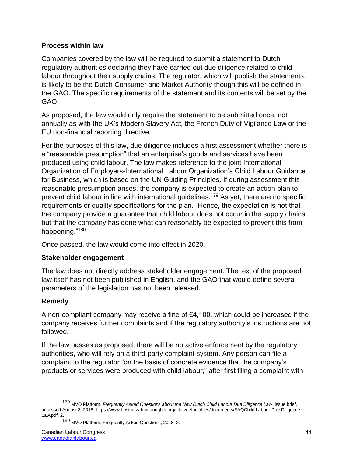### **Process within law**

Companies covered by the law will be required to submit a statement to Dutch regulatory authorities declaring they have carried out due diligence related to child labour throughout their supply chains. The regulator, which will publish the statements, is likely to be the Dutch Consumer and Market Authority though this will be defined in the GAO. The specific requirements of the statement and its contents will be set by the GAO.

As proposed, the law would only require the statement to be submitted once, not annually as with the UK's Modern Slavery Act, the French Duty of Vigilance Law or the EU non-financial reporting directive.

For the purposes of this law, due diligence includes a first assessment whether there is a "reasonable presumption" that an enterprise's goods and services have been produced using child labour. The law makes reference to the joint International Organization of Employers-International Labour Organization's Child Labour Guidance for Business, which is based on the UN Guiding Principles. If during assessment this reasonable presumption arises, the company is expected to create an action plan to prevent child labour in line with international guidelines.<sup>179</sup> As yet, there are no specific requirements or quality specifications for the plan. "Hence, the expectation is not that the company provide a guarantee that child labour does not occur in the supply chains, but that the company has done what can reasonably be expected to prevent this from happening."<sup>180</sup>

Once passed, the law would come into effect in 2020.

# **Stakeholder engagement**

The law does not directly address stakeholder engagement. The text of the proposed law itself has not been published in English, and the GAO that would define several parameters of the legislation has not been released.

# **Remedy**

 $\overline{a}$ 

A non-compliant company may receive a fine of €4,100, which could be increased if the company receives further complaints and if the regulatory authority's instructions are not followed.

If the law passes as proposed, there will be no active enforcement by the regulatory authorities, who will rely on a third-party complaint system. Any person can file a complaint to the regulator "on the basis of concrete evidence that the company's products or services were produced with child labour," after first filing a complaint with

<sup>179</sup> MVO Platform, *Frequently Asked Questions about the New Dutch Child Labour Due Diligence Law*, issue brief, accessed August 8, 2018, https://www.business-humanrights.org/sites/default/files/documents/FAQChild Labour Due Diligence Law.pdf, 2.

<sup>180</sup> MVO Platform, Frequently Asked Questions, 2018, 2.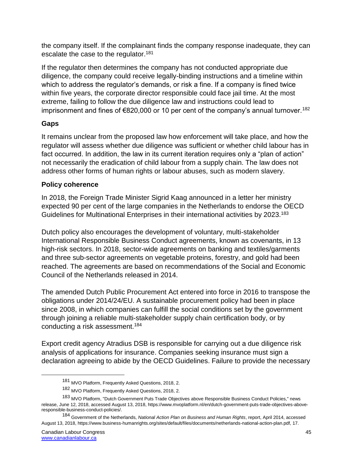the company itself. If the complainant finds the company response inadequate, they can escalate the case to the regulator.<sup>181</sup>

If the regulator then determines the company has not conducted appropriate due diligence, the company could receive legally-binding instructions and a timeline within which to address the regulator's demands, or risk a fine. If a company is fined twice within five years, the corporate director responsible could face jail time. At the most extreme, failing to follow the due diligence law and instructions could lead to imprisonment and fines of  $\epsilon$ 820,000 or 10 per cent of the company's annual turnover.<sup>182</sup>

# **Gaps**

It remains unclear from the proposed law how enforcement will take place, and how the regulator will assess whether due diligence was sufficient or whether child labour has in fact occurred. In addition, the law in its current iteration requires only a "plan of action" not necessarily the eradication of child labour from a supply chain. The law does not address other forms of human rights or labour abuses, such as modern slavery.

### **Policy coherence**

In 2018, the Foreign Trade Minister Sigrid Kaag announced in a letter her ministry expected 90 per cent of the large companies in the Netherlands to endorse the OECD Guidelines for Multinational Enterprises in their international activities by 2023.<sup>183</sup>

Dutch policy also encourages the development of voluntary, multi-stakeholder International Responsible Business Conduct agreements, known as covenants, in 13 high-risk sectors. In 2018, sector-wide agreements on banking and textiles/garments and three sub-sector agreements on vegetable proteins, forestry, and gold had been reached. The agreements are based on recommendations of the Social and Economic Council of the Netherlands released in 2014.

The amended Dutch Public Procurement Act entered into force in 2016 to transpose the obligations under 2014/24/EU. A sustainable procurement policy had been in place since 2008, in which companies can fulfill the social conditions set by the government through joining a reliable multi-stakeholder supply chain certification body, or by conducting a risk assessment.<sup>184</sup>

Export credit agency Atradius DSB is responsible for carrying out a due diligence risk analysis of applications for insurance. Companies seeking insurance must sign a declaration agreeing to abide by the OECD Guidelines. Failure to provide the necessary

<sup>181</sup> MVO Platform, Frequently Asked Questions, 2018, 2.

<sup>182</sup> MVO Platform, Frequently Asked Questions, 2018, 2.

<sup>183</sup> MVO Platform, "Dutch Government Puts Trade Objectives above Responsible Business Conduct Policies," news release, June 12, 2018, accessed August 13, 2018, https://www.mvoplatform.nl/en/dutch-government-puts-trade-objectives-aboveresponsible-business-conduct-policies/.

<sup>184</sup> Government of the Netherlands, *National Action Plan on Business and Human Rights*, report, April 2014, accessed August 13, 2018, https://www.business-humanrights.org/sites/default/files/documents/netherlands-national-action-plan.pdf, 17.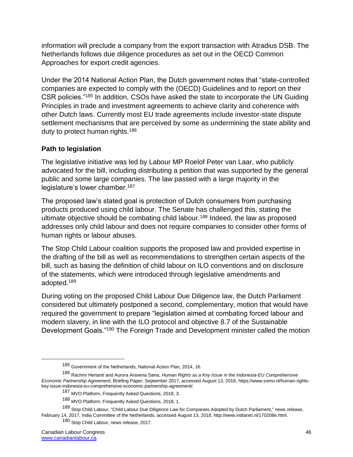information will preclude a company from the export transaction with Atradius DSB. The Netherlands follows due diligence procedures as set out in the OECD Common Approaches for export credit agencies.

Under the 2014 National Action Plan, the Dutch government notes that "state-controlled companies are expected to comply with the (OECD) Guidelines and to report on their CSR policies."<sup>185</sup> In addition, CSOs have asked the state to incorporate the UN Guiding Principles in trade and investment agreements to achieve clarity and coherence with other Dutch laws. Currently most EU trade agreements include investor-state dispute settlement mechanisms that are perceived by some as undermining the state ability and duty to protect human rights.<sup>186</sup>

### **Path to legislation**

The legislative initiative was led by Labour MP Roelof Peter van Laar, who publicly advocated for the bill, including distributing a petition that was supported by the general public and some large companies. The law passed with a large majority in the legislature's lower chamber.<sup>187</sup>

The proposed law's stated goal is protection of Dutch consumers from purchasing products produced using child labour. The Senate has challenged this, stating the ultimate objective should be combating child labour.<sup>188</sup> Indeed, the law as proposed addresses only child labour and does not require companies to consider other forms of human rights or labour abuses.

The Stop Child Labour coalition supports the proposed law and provided expertise in the drafting of the bill as well as recommendations to strengthen certain aspects of the bill, such as basing the definition of child labour on ILO conventions and on disclosure of the statements, which were introduced through legislative amendments and adopted.<sup>189</sup>

During voting on the proposed Child Labour Due Diligence law, the Dutch Parliament considered but ultimately postponed a second, complementary, motion that would have required the government to prepare "legislation aimed at combating forced labour and modern slavery, in line with the ILO protocol and objective 8.7 of the Sustainable Development Goals."<sup>190</sup> The Foreign Trade and Development minister called the motion

<sup>185</sup> Government of the Netherlands, National Action Plan, 2014, 16.

<sup>186</sup> Rachmi Hertanti and Aurora Aravena Søna, *Human Rights as a Key Issue in the Indonesia-EU Comprehensive Economic Partnership Agreement*, Briefing Paper, September 2017, accessed August 13, 2018, https://www.somo.nl/human-rightskey-issue-indonesia-eu-comprehensive-economic-partnership-agreement/.

<sup>187</sup> MVO Platform, Frequently Asked Questions, 2018, 3.

<sup>188</sup> MVO Platform, Frequently Asked Questions, 2018, 1.

<sup>189</sup> Stop Child Labour, "Child Labour Due Diligence Law for Companies Adopted by Dutch Parliament," news release, February 14, 2017, India Committee of the Netherlands, accessed August 13, 2018, http://www.indianet.nl/170208e.html.

<sup>190</sup> Stop Child Labour, news release, 2017.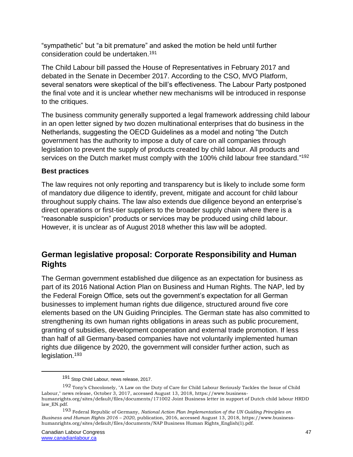"sympathetic" but "a bit premature" and asked the motion be held until further consideration could be undertaken.<sup>191</sup>

The Child Labour bill passed the House of Representatives in February 2017 and debated in the Senate in December 2017. According to the CSO, MVO Platform, several senators were skeptical of the bill's effectiveness. The Labour Party postponed the final vote and it is unclear whether new mechanisms will be introduced in response to the critiques.

The business community generally supported a legal framework addressing child labour in an open letter signed by two dozen multinational enterprises that do business in the Netherlands, suggesting the OECD Guidelines as a model and noting "the Dutch government has the authority to impose a duty of care on all companies through legislation to prevent the supply of products created by child labour. All products and services on the Dutch market must comply with the 100% child labour free standard."<sup>192</sup>

### **Best practices**

The law requires not only reporting and transparency but is likely to include some form of mandatory due diligence to identify, prevent, mitigate and account for child labour throughout supply chains. The law also extends due diligence beyond an enterprise's direct operations or first-tier suppliers to the broader supply chain where there is a "reasonable suspicion" products or services may be produced using child labour. However, it is unclear as of August 2018 whether this law will be adopted.

# **German legislative proposal: Corporate Responsibility and Human Rights**

The German government established due diligence as an expectation for business as part of its 2016 National Action Plan on Business and Human Rights. The NAP, led by the Federal Foreign Office, sets out the government's expectation for all German businesses to implement human rights due diligence, structured around five core elements based on the UN Guiding Principles. The German state has also committed to strengthening its own human rights obligations in areas such as public procurement, granting of subsidies, development cooperation and external trade promotion. If less than half of all Germany-based companies have not voluntarily implemented human rights due diligence by 2020, the government will consider further action, such as legislation.<sup>193</sup>

<sup>191</sup> Stop Child Labour, news release, 2017.

<sup>192</sup> Tony's Chocolonely, "A Law on the Duty of Care for Child Labour Seriously Tackles the Issue of Child Labour," news release, October 3, 2017, accessed August 13, 2018, https://www.businesshumanrights.org/sites/default/files/documents/171002 Joint Business letter in support of Dutch child labour HRDD law\_EN.pdf.

<sup>193</sup> Federal Republic of Germany, *National Action Plan Implementation of the UN Guiding Principles on Business and Human Rights 2016 – 2020*, publication, 2016, accessed August 13, 2018, https://www.businesshumanrights.org/sites/default/files/documents/NAP Business Human Rights\_English(1).pdf.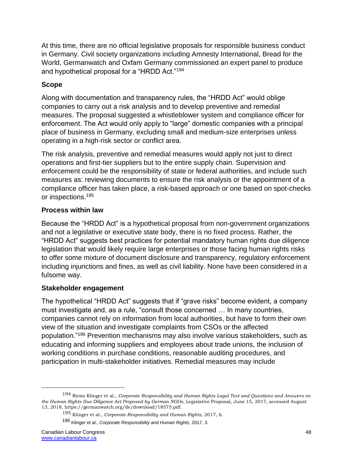At this time, there are no official legislative proposals for responsible business conduct in Germany. Civil society organizations including Amnesty International, Bread for the World, Germanwatch and Oxfam Germany commissioned an expert panel to produce and hypothetical proposal for a "HRDD Act."<sup>194</sup>

# **Scope**

Along with documentation and transparency rules, the "HRDD Act" would oblige companies to carry out a risk analysis and to develop preventive and remedial measures. The proposal suggested a whistleblower system and compliance officer for enforcement. The Act would only apply to "large" domestic companies with a principal place of business in Germany, excluding small and medium-size enterprises unless operating in a high-risk sector or conflict area.

The risk analysis, preventive and remedial measures would apply not just to direct operations and first-tier suppliers but to the entire supply chain. Supervision and enforcement could be the responsibility of state or federal authorities, and include such measures as: reviewing documents to ensure the risk analysis or the appointment of a compliance officer has taken place, a risk-based approach or one based on spot-checks or inspections.<sup>195</sup>

### **Process within law**

Because the "HRDD Act" is a hypothetical proposal from non-government organizations and not a legislative or executive state body, there is no fixed process. Rather, the "HRDD Act" suggests best practices for potential mandatory human rights due diligence legislation that would likely require large enterprises or those facing human rights risks to offer some mixture of document disclosure and transparency, regulatory enforcement including injunctions and fines, as well as civil liability. None have been considered in a fulsome way.

# **Stakeholder engagement**

The hypothetical "HRDD Act" suggests that if "grave risks" become evident, a company must investigate and, as a rule, "consult those concerned … In many countries, companies cannot rely on information from local authorities, but have to form their own view of the situation and investigate complaints from CSOs or the affected population."<sup>196</sup> Prevention mechanisms may also involve various stakeholders, such as educating and informing suppliers and employees about trade unions, the inclusion of working conditions in purchase conditions, reasonable auditing procedures, and participation in multi-stakeholder initiatives. Remedial measures may include

<sup>194</sup> Remo Klinger et al., *Corporate Responsibility and Human Rights Legal Text and Questions and Answers on the Human Rights Due Diligence Act Proposed by German NGOs*, Legislative Proposal, June 15, 2017, accessed August 13, 2018, https://germanwatch.org/de/download/18575.pdf.

<sup>195</sup> Klinger et al., *Corporate Responsibility and Human Rights*, 2017, 6.

<sup>196</sup> Klinger et al., *Corporate Responsibility and Human Rights*, 2017, 3.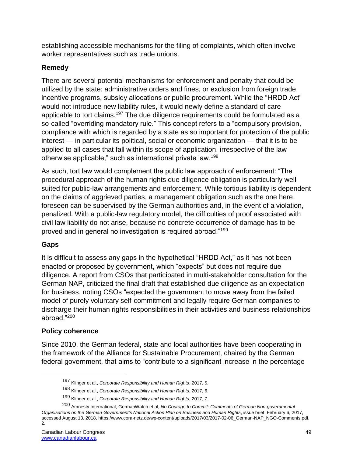establishing accessible mechanisms for the filing of complaints, which often involve worker representatives such as trade unions.

# **Remedy**

There are several potential mechanisms for enforcement and penalty that could be utilized by the state: administrative orders and fines, or exclusion from foreign trade incentive programs, subsidy allocations or public procurement. While the "HRDD Act" would not introduce new liability rules, it would newly define a standard of care applicable to tort claims.<sup>197</sup> The due diligence requirements could be formulated as a so-called "overriding mandatory rule." This concept refers to a "compulsory provision, compliance with which is regarded by a state as so important for protection of the public interest — in particular its political, social or economic organization — that it is to be applied to all cases that fall within its scope of application, irrespective of the law otherwise applicable," such as international private law.<sup>198</sup>

As such, tort law would complement the public law approach of enforcement: "The procedural approach of the human rights due diligence obligation is particularly well suited for public-law arrangements and enforcement. While tortious liability is dependent on the claims of aggrieved parties, a management obligation such as the one here foreseen can be supervised by the German authorities and, in the event of a violation, penalized. With a public-law regulatory model, the difficulties of proof associated with civil law liability do not arise, because no concrete occurrence of damage has to be proved and in general no investigation is required abroad."<sup>199</sup>

# **Gaps**

 $\overline{a}$ 

It is difficult to assess any gaps in the hypothetical "HRDD Act," as it has not been enacted or proposed by government, which "expects" but does not require due diligence. A report from CSOs that participated in multi-stakeholder consultation for the German NAP, criticized the final draft that established due diligence as an expectation for business, noting CSOs "expected the government to move away from the failed model of purely voluntary self-commitment and legally require German companies to discharge their human rights responsibilities in their activities and business relationships abroad."<sup>200</sup>

# **Policy coherence**

Since 2010, the German federal, state and local authorities have been cooperating in the framework of the Alliance for Sustainable Procurement, chaired by the German federal government, that aims to "contribute to a significant increase in the percentage

<sup>197</sup> Klinger et al., *Corporate Responsibility and Human Rights*, 2017, 5.

<sup>198</sup> Klinger et al., *Corporate Responsibility and Human Rights*, 2017, 6.

<sup>199</sup> Klinger et al., *Corporate Responsibility and Human Rights*, 2017, 7.

<sup>200</sup> Amnesty International, GermanWatch et al, *No Courage to Commit: Comments of German Non-governmental Organisations on the German Government's National Action Plan on Business and Human Rights*, issue brief, February 6, 2017, accessed August 13, 2018, https://www.cora-netz.de/wp-content/uploads/2017/03/2017-02-06\_German-NAP\_NGO-Comments.pdf, 2.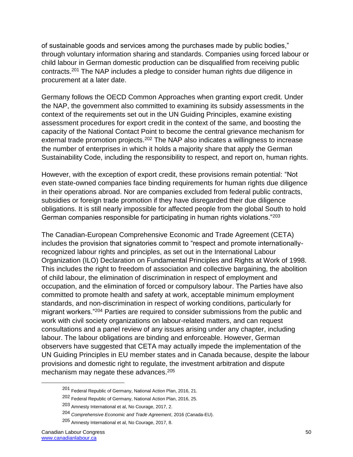of sustainable goods and services among the purchases made by public bodies," through voluntary information sharing and standards. Companies using forced labour or child labour in German domestic production can be disqualified from receiving public contracts.<sup>201</sup> The NAP includes a pledge to consider human rights due diligence in procurement at a later date.

Germany follows the OECD Common Approaches when granting export credit. Under the NAP, the government also committed to examining its subsidy assessments in the context of the requirements set out in the UN Guiding Principles, examine existing assessment procedures for export credit in the context of the same, and boosting the capacity of the National Contact Point to become the central grievance mechanism for external trade promotion projects.<sup>202</sup> The NAP also indicates a willingness to increase the number of enterprises in which it holds a majority share that apply the German Sustainability Code, including the responsibility to respect, and report on, human rights.

However, with the exception of export credit, these provisions remain potential: "Not even state-owned companies face binding requirements for human rights due diligence in their operations abroad. Nor are companies excluded from federal public contracts, subsidies or foreign trade promotion if they have disregarded their due diligence obligations. It is still nearly impossible for affected people from the global South to hold German companies responsible for participating in human rights violations."<sup>203</sup>

The Canadian-European Comprehensive Economic and Trade Agreement (CETA) includes the provision that signatories commit to "respect and promote internationallyrecognized labour rights and principles, as set out in the International Labour Organization (ILO) Declaration on Fundamental Principles and Rights at Work of 1998. This includes the right to freedom of association and collective bargaining, the abolition of child labour, the elimination of discrimination in respect of employment and occupation, and the elimination of forced or compulsory labour. The Parties have also committed to promote health and safety at work, acceptable minimum employment standards, and non-discrimination in respect of working conditions, particularly for migrant workers."<sup>204</sup> Parties are required to consider submissions from the public and work with civil society organizations on labour-related matters, and can request consultations and a panel review of any issues arising under any chapter, including labour. The labour obligations are binding and enforceable. However, German observers have suggested that CETA may actually impede the implementation of the UN Guiding Principles in EU member states and in Canada because, despite the labour provisions and domestic right to regulate, the investment arbitration and dispute mechanism may negate these advances.<sup>205</sup>

<sup>201</sup> Federal Republic of Germany, National Action Plan, 2016, 21.

<sup>202</sup> Federal Republic of Germany, National Action Plan, 2016, 25.

<sup>203</sup> Amnesty International et al, No Courage, 2017, 2.

<sup>204</sup> *Comprehensive Economic and Trade Agreement*, 2016 (Canada-EU).

<sup>205</sup> Amnesty International et al, No Courage, 2017, 8.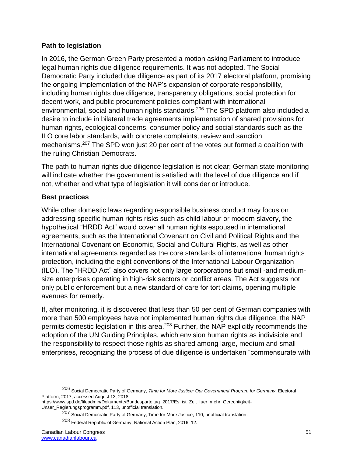### **Path to legislation**

In 2016, the German Green Party presented a motion asking Parliament to introduce legal human rights due diligence requirements. It was not adopted. The Social Democratic Party included due diligence as part of its 2017 electoral platform, promising the ongoing implementation of the NAP's expansion of corporate responsibility, including human rights due diligence, transparency obligations, social protection for decent work, and public procurement policies compliant with international environmental, social and human rights standards.<sup>206</sup> The SPD platform also included a desire to include in bilateral trade agreements implementation of shared provisions for human rights, ecological concerns, consumer policy and social standards such as the ILO core labor standards, with concrete complaints, review and sanction mechanisms.<sup>207</sup> The SPD won just 20 per cent of the votes but formed a coalition with the ruling Christian Democrats.

The path to human rights due diligence legislation is not clear; German state monitoring will indicate whether the government is satisfied with the level of due diligence and if not, whether and what type of legislation it will consider or introduce.

# **Best practices**

While other domestic laws regarding responsible business conduct may focus on addressing specific human rights risks such as child labour or modern slavery, the hypothetical "HRDD Act" would cover all human rights espoused in international agreements, such as the International Covenant on Civil and Political Rights and the International Covenant on Economic, Social and Cultural Rights, as well as other international agreements regarded as the core standards of international human rights protection, including the eight conventions of the International Labour Organization (ILO). The "HRDD Act" also covers not only large corporations but small -and mediumsize enterprises operating in high-risk sectors or conflict areas. The Act suggests not only public enforcement but a new standard of care for tort claims, opening multiple avenues for remedy.

If, after monitoring, it is discovered that less than 50 per cent of German companies with more than 500 employees have not implemented human rights due diligence, the NAP permits domestic legislation in this area.<sup>208</sup> Further, the NAP explicitly recommends the adoption of the UN Guiding Principles, which envision human rights as indivisible and the responsibility to respect those rights as shared among large, medium and small enterprises, recognizing the process of due diligence is undertaken "commensurate with

<sup>206</sup> Social Democratic Party of Germany, *Time for More Justice: Our Government Program for Germany*, Electoral Platform, 2017, accessed August 13, 2018,

https://www.spd.de/fileadmin/Dokumente/Bundesparteitag\_2017/Es\_ist\_Zeit\_fuer\_mehr\_Gerechtigkeit-Unser\_Regierungsprogramm.pdf, 113, unofficial translation.

<sup>207</sup> Social Democratic Party of Germany, Time for More Justice, 110, unofficial translation.

<sup>208</sup> Federal Republic of Germany, National Action Plan, 2016, 12.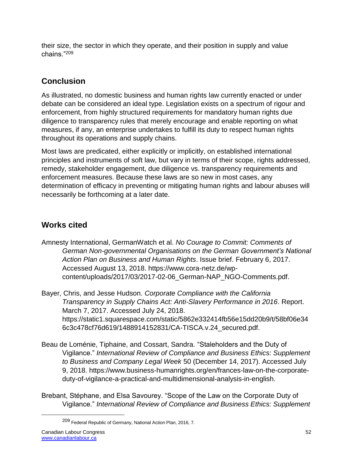their size, the sector in which they operate, and their position in supply and value chains."<sup>209</sup>

# **Conclusion**

As illustrated, no domestic business and human rights law currently enacted or under debate can be considered an ideal type. Legislation exists on a spectrum of rigour and enforcement, from highly structured requirements for mandatory human rights due diligence to transparency rules that merely encourage and enable reporting on what measures, if any, an enterprise undertakes to fulfill its duty to respect human rights throughout its operations and supply chains.

Most laws are predicated, either explicitly or implicitly, on established international principles and instruments of soft law, but vary in terms of their scope, rights addressed, remedy, stakeholder engagement, due diligence vs. transparency requirements and enforcement measures. Because these laws are so new in most cases, any determination of efficacy in preventing or mitigating human rights and labour abuses will necessarily be forthcoming at a later date.

# **Works cited**

Amnesty International, GermanWatch et al. *No Courage to Commit: Comments of German Non-governmental Organisations on the German Government's National Action Plan on Business and Human Rights*. Issue brief. February 6, 2017. Accessed August 13, 2018. https://www.cora-netz.de/wpcontent/uploads/2017/03/2017-02-06\_German-NAP\_NGO-Comments.pdf.

Bayer, Chris, and Jesse Hudson. *Corporate Compliance with the California Transparency in Supply Chains Act: Anti-Slavery Performance in 2016*. Report. March 7, 2017. Accessed July 24, 2018. https://static1.squarespace.com/static/5862e332414fb56e15dd20b9/t/58bf06e34 6c3c478cf76d619/1488914152831/CA-TISCA.v.24\_secured.pdf.

- Beau de Loménie, Tiphaine, and Cossart, Sandra. "Staleholders and the Duty of Vigilance." *International Review of Compliance and Business Ethics: Supplement to Business and Company Legal Week* 50 (December 14, 2017). Accessed July 9, 2018. https://www.business-humanrights.org/en/frances-law-on-the-corporateduty-of-vigilance-a-practical-and-multidimensional-analysis-in-english.
- Brebant, Stéphane, and Elsa Savourey. "Scope of the Law on the Corporate Duty of Vigilance." *International Review of Compliance and Business Ethics: Supplement*

<sup>209</sup> Federal Republic of Germany, National Action Plan, 2016, 7*.*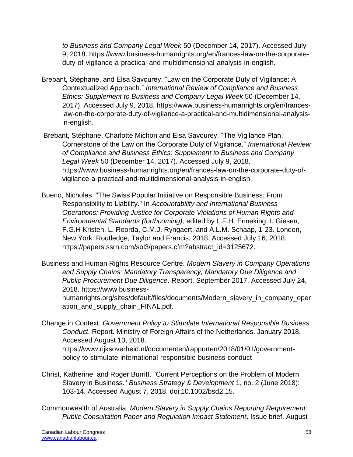*to Business and Company Legal Week* 50 (December 14, 2017). Accessed July 9, 2018. https://www.business-humanrights.org/en/frances-law-on-the-corporateduty-of-vigilance-a-practical-and-multidimensional-analysis-in-english.

- Brebant, Stéphane, and Elsa Savourey. "Law on the Corporate Duty of Vigilance: A Contextualized Approach*.*" *International Review of Compliance and Business Ethics: Supplement to Business and Company Legal Week* 50 (December 14, 2017). Accessed July 9, 2018. https://www.business-humanrights.org/en/franceslaw-on-the-corporate-duty-of-vigilance-a-practical-and-multidimensional-analysisin-english.
- Brebant, Stéphane, Charlotte Michon and Elsa Savourey. "The Vigilance Plan: Cornerstone of the Law on the Corporate Duty of Vigilance." *International Review of Compliance and Business Ethics: Supplement to Business and Company Legal Week* 50 (December 14, 2017). Accessed July 9, 2018. https://www.business-humanrights.org/en/frances-law-on-the-corporate-duty-ofvigilance-a-practical-and-multidimensional-analysis-in-english.
- Bueno, Nicholas. "The Swiss Popular Initiative on Responsible Business: From Responsibility to Liability." In *Accountability and International Business Operations: Providing Justice for Corporate Violations of Human Rights and Environmental Standards (forthcoming),* edited by L.F.H. Enneking, I. Giesen, F.G.H Kristen, L. Roorda, C.M.J. Ryngaert, and A.L.M. Schaap, 1-23. London, New York: Routledge, Taylor and Francis, 2018. Accessed July 16, 2018. https://papers.ssrn.com/sol3/papers.cfm?abstract\_id=3125672.

Business and Human Rights Resource Centre. *Modern Slavery in Company Operations and Supply Chains: Mandatory Transparency, Mandatory Due Diligence and Public Procurement Due Diligence*. Report. September 2017. Accessed July 24, 2018. https://www.businesshumanrights.org/sites/default/files/documents/Modern\_slavery\_in\_company\_oper ation\_and\_supply\_chain\_FINAL.pdf.

- Change in Context. *Government Policy to Stimulate International Responsible Business Conduct*. Report. Ministry of Foreign Affairs of the Netherlands. January 2018. Accessed August 13, 2018. https://www.rijksoverheid.nl/documenten/rapporten/2018/01/01/governmentpolicy-to-stimulate-international-responsible-business-conduct
- Christ, Katherine, and Roger Burritt. "Current Perceptions on the Problem of Modern Slavery in Business." *Business Strategy & Development* 1, no. 2 (June 2018): 103-14. Accessed August 7, 2018. doi:10.1002/bsd2.15.
- Commonwealth of Australia. *Modern Slavery in Supply Chains Reporting Requirement: Public Consultation Paper and Regulation Impact Statement*. Issue brief. August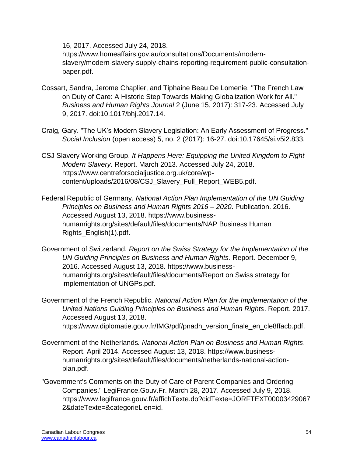16, 2017. Accessed July 24, 2018.

https://www.homeaffairs.gov.au/consultations/Documents/modernslavery/modern-slavery-supply-chains-reporting-requirement-public-consultationpaper.pdf.

- Cossart, Sandra, Jerome Chaplier, and Tiphaine Beau De Lomenie. "The French Law on Duty of Care: A Historic Step Towards Making Globalization Work for All." *Business and Human Rights Journal* 2 (June 15, 2017): 317-23. Accessed July 9, 2017. doi:10.1017/bhj.2017.14.
- Craig, Gary. "The UK's Modern Slavery Legislation: An Early Assessment of Progress." *Social Inclusion* (open access) 5, no. 2 (2017): 16-27. doi:10.17645/si.v5i2.833.
- CSJ Slavery Working Group. *It Happens Here: Equipping the United Kingdom to Fight Modern Slavery*. Report. March 2013. Accessed July 24, 2018. https://www.centreforsocialjustice.org.uk/core/wpcontent/uploads/2016/08/CSJ\_Slavery\_Full\_Report\_WEB5.pdf.
- Federal Republic of Germany. *National Action Plan Implementation of the UN Guiding Principles on Business and Human Rights 2016 – 2020*. Publication. 2016. Accessed August 13, 2018. https://www.businesshumanrights.org/sites/default/files/documents/NAP Business Human Rights\_English(1).pdf.
- Government of Switzerland. *Report on the Swiss Strategy for the Implementation of the UN Guiding Principles on Business and Human Rights*. Report. December 9, 2016. Accessed August 13, 2018. https://www.businesshumanrights.org/sites/default/files/documents/Report on Swiss strategy for implementation of UNGPs.pdf.
- Government of the French Republic. *National Action Plan for the Implementation of the United Nations Guiding Principles on Business and Human Rights*. Report. 2017. Accessed August 13, 2018. https://www.diplomatie.gouv.fr/IMG/pdf/pnadh\_version\_finale\_en\_cle8ffacb.pdf.
- Government of the Netherlands*. National Action Plan on Business and Human Rights*. Report. April 2014. Accessed August 13, 2018. https://www.businesshumanrights.org/sites/default/files/documents/netherlands-national-actionplan.pdf.
- "Government's Comments on the Duty of Care of Parent Companies and Ordering Companies." LegiFrance.Gouv.Fr. March 28, 2017. Accessed July 9, 2018. https://www.legifrance.gouv.fr/affichTexte.do?cidTexte=JORFTEXT00003429067 2&dateTexte=&categorieLien=id.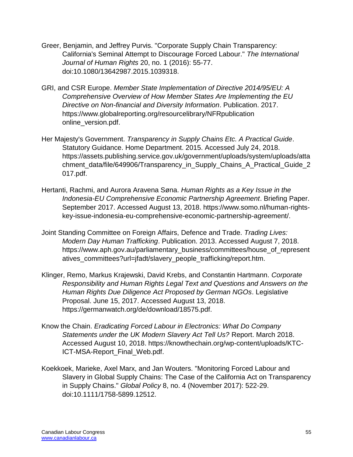- Greer, Benjamin, and Jeffrey Purvis. "Corporate Supply Chain Transparency: California's Seminal Attempt to Discourage Forced Labour." *The International Journal of Human Rights* 20, no. 1 (2016): 55-77. doi:10.1080/13642987.2015.1039318.
- GRI, and CSR Europe. *Member State Implementation of Directive 2014/95/EU: A Comprehensive Overview of How Member States Are Implementing the EU Directive on Non-financial and Diversity Information*. Publication. 2017. https://www.globalreporting.org/resourcelibrary/NFRpublication online\_version.pdf.
- Her Majesty's Government. *Transparency in Supply Chains Etc. A Practical Guide*. Statutory Guidance. Home Department. 2015. Accessed July 24, 2018. https://assets.publishing.service.gov.uk/government/uploads/system/uploads/atta chment\_data/file/649906/Transparency\_in\_Supply\_Chains\_A\_Practical\_Guide\_2 017.pdf.
- Hertanti, Rachmi, and Aurora Aravena Søna. *Human Rights as a Key Issue in the Indonesia-EU Comprehensive Economic Partnership Agreement*. Briefing Paper. September 2017. Accessed August 13, 2018. https://www.somo.nl/human-rightskey-issue-indonesia-eu-comprehensive-economic-partnership-agreement/.
- Joint Standing Committee on Foreign Affairs, Defence and Trade. *Trading Lives: Modern Day Human Trafficking*. Publication. 2013. Accessed August 7, 2018. https://www.aph.gov.au/parliamentary\_business/committees/house\_of\_represent atives\_committees?url=jfadt/slavery\_people\_trafficking/report.htm.
- Klinger, Remo, Markus Krajewski, David Krebs, and Constantin Hartmann. *Corporate Responsibility and Human Rights Legal Text and Questions and Answers on the Human Rights Due Diligence Act Proposed by German NGOs*. Legislative Proposal. June 15, 2017. Accessed August 13, 2018. https://germanwatch.org/de/download/18575.pdf.
- Know the Chain. *Eradicating Forced Labour in Electronics: What Do Company Statements under the UK Modern Slavery Act Tell Us?* Report. March 2018. Accessed August 10, 2018. https://knowthechain.org/wp-content/uploads/KTC-ICT-MSA-Report\_Final\_Web.pdf.
- Koekkoek, Marieke, Axel Marx, and Jan Wouters. "Monitoring Forced Labour and Slavery in Global Supply Chains: The Case of the California Act on Transparency in Supply Chains." *Global Policy* 8, no. 4 (November 2017): 522-29. doi:10.1111/1758-5899.12512.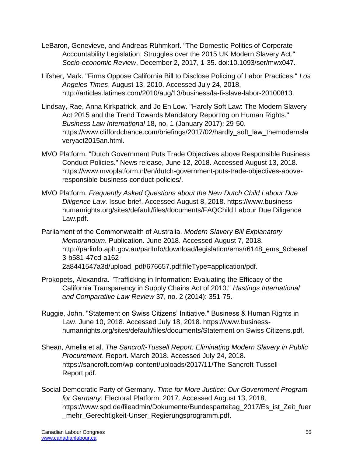- LeBaron, Genevieve, and Andreas Rühmkorf. "The Domestic Politics of Corporate Accountability Legislation: Struggles over the 2015 UK Modern Slavery Act." *Socio-economic Review*, December 2, 2017, 1-35. doi:10.1093/ser/mwx047.
- Lifsher, Mark. "Firms Oppose California Bill to Disclose Policing of Labor Practices." *Los Angeles Times*, August 13, 2010. Accessed July 24, 2018. http://articles.latimes.com/2010/aug/13/business/la-fi-slave-labor-20100813.
- Lindsay, Rae, Anna Kirkpatrick, and Jo En Low. "Hardly Soft Law: The Modern Slavery Act 2015 and the Trend Towards Mandatory Reporting on Human Rights." *Business Law International* 18, no. 1 (January 2017): 29-50. https://www.cliffordchance.com/briefings/2017/02/hardly\_soft\_law\_themodernsla veryact2015an.html.
- MVO Platform. "Dutch Government Puts Trade Objectives above Responsible Business Conduct Policies." News release, June 12, 2018. Accessed August 13, 2018. https://www.mvoplatform.nl/en/dutch-government-puts-trade-objectives-aboveresponsible-business-conduct-policies/.
- MVO Platform. *Frequently Asked Questions about the New Dutch Child Labour Due Diligence Law*. Issue brief. Accessed August 8, 2018. https://www.businesshumanrights.org/sites/default/files/documents/FAQChild Labour Due Diligence Law.pdf.
- Parliament of the Commonwealth of Australia. *Modern Slavery Bill Explanatory Memorandum*. Publication. June 2018. Accessed August 7, 2018. http://parlinfo.aph.gov.au/parlInfo/download/legislation/ems/r6148\_ems\_9cbeaef 3-b581-47cd-a162- 2a8441547a3d/upload\_pdf/676657.pdf;fileType=application/pdf.
- Prokopets, Alexandra. "Trafficking in Information: Evaluating the Efficacy of the California Transparency in Supply Chains Act of 2010." *Hastings International and Comparative Law Review* 37, no. 2 (2014): 351-75.
- Ruggie, John. "Statement on Swiss Citizens' Initiative." Business & Human Rights in Law. June 10, 2018. Accessed July 18, 2018. https://www.businesshumanrights.org/sites/default/files/documents/Statement on Swiss Citizens.pdf.
- Shean, Amelia et al. *The Sancroft-Tussell Report: Eliminating Modern Slavery in Public Procurement*. Report. March 2018. Accessed July 24, 2018. https://sancroft.com/wp-content/uploads/2017/11/The-Sancroft-Tussell-Report.pdf.
- Social Democratic Party of Germany. *Time for More Justice: Our Government Program for Germany*. Electoral Platform. 2017. Accessed August 13, 2018. https://www.spd.de/fileadmin/Dokumente/Bundesparteitag\_2017/Es\_ist\_Zeit\_fuer \_mehr\_Gerechtigkeit-Unser\_Regierungsprogramm.pdf.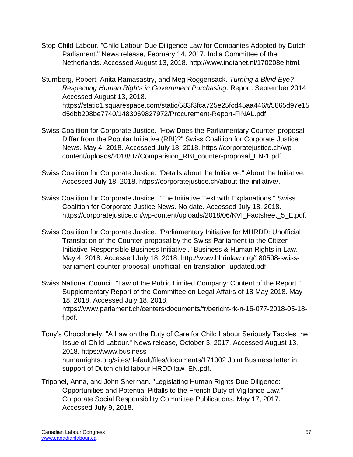Stop Child Labour. "Child Labour Due Diligence Law for Companies Adopted by Dutch Parliament." News release, February 14, 2017. India Committee of the Netherlands. Accessed August 13, 2018. http://www.indianet.nl/170208e.html.

Stumberg, Robert, Anita Ramasastry, and Meg Roggensack. *Turning a Blind Eye? Respecting Human Rights in Government Purchasing*. Report. September 2014. Accessed August 13, 2018. https://static1.squarespace.com/static/583f3fca725e25fcd45aa446/t/5865d97e15 d5dbb208be7740/1483069827972/Procurement-Report-FINAL.pdf.

- Swiss Coalition for Corporate Justice. "How Does the Parliamentary Counter-proposal Differ from the Popular Initiative (RBI)?" Swiss Coalition for Corporate Justice News. May 4, 2018. Accessed July 18, 2018. https://corporatejustice.ch/wpcontent/uploads/2018/07/Comparision\_RBI\_counter-proposal\_EN-1.pdf.
- Swiss Coalition for Corporate Justice. "Details about the Initiative." About the Initiative. Accessed July 18, 2018. https://corporatejustice.ch/about-the-initiative/.
- Swiss Coalition for Corporate Justice. "The Initiative Text with Explanations." Swiss Coalition for Corporate Justice News. No date. Accessed July 18, 2018. https://corporatejustice.ch/wp-content/uploads/2018/06/KVI\_Factsheet\_5\_E.pdf.
- Swiss Coalition for Corporate Justice. "Parliamentary Initiative for MHRDD: Unofficial Translation of the Counter-proposal by the Swiss Parliament to the Citizen Initiative 'Responsible Business Initiative'." Business & Human Rights in Law. May 4, 2018. Accessed July 18, 2018. http://www.bhrinlaw.org/180508-swissparliament-counter-proposal\_unofficial\_en-translation\_updated.pdf
- Swiss National Council. "Law of the Public Limited Company: Content of the Report." Supplementary Report of the Committee on Legal Affairs of 18 May 2018. May 18, 2018. Accessed July 18, 2018. https://www.parlament.ch/centers/documents/fr/bericht-rk-n-16-077-2018-05-18 f.pdf.
- Tony's Chocolonely. "A Law on the Duty of Care for Child Labour Seriously Tackles the Issue of Child Labour." News release, October 3, 2017. Accessed August 13, 2018. https://www.businesshumanrights.org/sites/default/files/documents/171002 Joint Business letter in support of Dutch child labour HRDD law\_EN.pdf.
- Triponel, Anna, and John Sherman. "Legislating Human Rights Due Diligence: Opportunities and Potential Pitfalls to the French Duty of Vigilance Law." Corporate Social Responsibility Committee Publications. May 17, 2017. Accessed July 9, 2018.